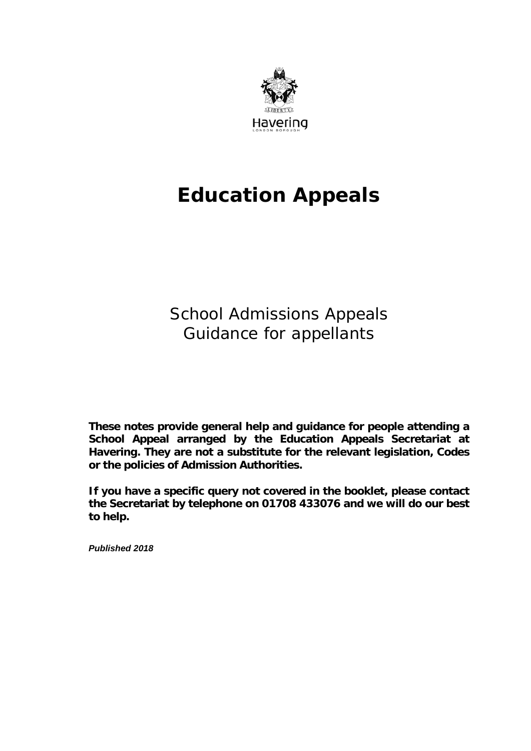

# **Education Appeals**

 Guidance for appellants School Admissions Appeals

**These notes provide general help and guidance for people attending a School Appeal arranged by the Education Appeals Secretariat at Havering. They are not a substitute for the relevant legislation, Codes or the policies of Admission Authorities.** 

**If you have a specific query not covered in the booklet, please contact the Secretariat by telephone on 01708 433076 and we will do our best to help.** 

*Published 2018*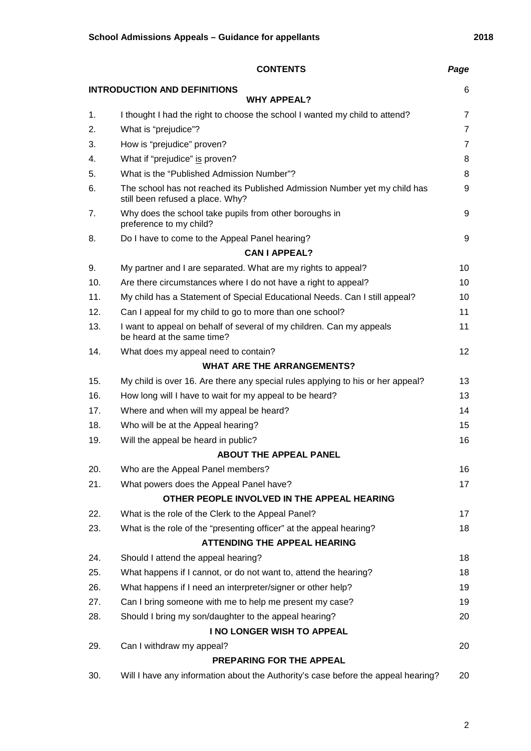|                                          | <b>CONTENTS</b>                                                                                                | Page           |  |  |  |
|------------------------------------------|----------------------------------------------------------------------------------------------------------------|----------------|--|--|--|
| <b>INTRODUCTION AND DEFINITIONS</b><br>6 |                                                                                                                |                |  |  |  |
|                                          | <b>WHY APPEAL?</b>                                                                                             |                |  |  |  |
| 1.                                       | I thought I had the right to choose the school I wanted my child to attend?                                    | $\overline{7}$ |  |  |  |
| 2.                                       | What is "prejudice"?                                                                                           | $\overline{7}$ |  |  |  |
| 3.                                       | How is "prejudice" proven?                                                                                     | $\overline{7}$ |  |  |  |
| 4.                                       | What if "prejudice" is proven?                                                                                 | 8              |  |  |  |
| 5.                                       | What is the "Published Admission Number"?                                                                      | 8              |  |  |  |
| 6.                                       | The school has not reached its Published Admission Number yet my child has<br>still been refused a place. Why? | 9              |  |  |  |
| 7.                                       | Why does the school take pupils from other boroughs in<br>preference to my child?                              | 9              |  |  |  |
| 8.                                       | Do I have to come to the Appeal Panel hearing?                                                                 | 9              |  |  |  |
|                                          | <b>CAN I APPEAL?</b>                                                                                           |                |  |  |  |
| 9.                                       | My partner and I are separated. What are my rights to appeal?                                                  | 10             |  |  |  |
| 10.                                      | Are there circumstances where I do not have a right to appeal?                                                 | 10             |  |  |  |
| 11.                                      | My child has a Statement of Special Educational Needs. Can I still appeal?                                     | 10             |  |  |  |
| 12.                                      | Can I appeal for my child to go to more than one school?                                                       | 11             |  |  |  |
| 13.                                      | I want to appeal on behalf of several of my children. Can my appeals<br>be heard at the same time?             | 11             |  |  |  |
| 14.                                      | What does my appeal need to contain?                                                                           | 12             |  |  |  |
|                                          | <b>WHAT ARE THE ARRANGEMENTS?</b>                                                                              |                |  |  |  |
| 15.                                      | My child is over 16. Are there any special rules applying to his or her appeal?                                | 13             |  |  |  |
| 16.                                      | How long will I have to wait for my appeal to be heard?                                                        | 13             |  |  |  |
| 17.                                      | Where and when will my appeal be heard?                                                                        | 14             |  |  |  |
| 18.                                      | Who will be at the Appeal hearing?                                                                             | 15             |  |  |  |
| 19.                                      | Will the appeal be heard in public?                                                                            | 16             |  |  |  |
|                                          | <b>ABOUT THE APPEAL PANEL</b>                                                                                  |                |  |  |  |
| 20.                                      | Who are the Appeal Panel members?                                                                              | 16             |  |  |  |
| 21.                                      | What powers does the Appeal Panel have?                                                                        | 17             |  |  |  |
|                                          | OTHER PEOPLE INVOLVED IN THE APPEAL HEARING                                                                    |                |  |  |  |
| 22.                                      | What is the role of the Clerk to the Appeal Panel?                                                             | 17             |  |  |  |
| 23.                                      | What is the role of the "presenting officer" at the appeal hearing?                                            | 18             |  |  |  |
|                                          | <b>ATTENDING THE APPEAL HEARING</b>                                                                            |                |  |  |  |
| 24.                                      | Should I attend the appeal hearing?                                                                            | 18             |  |  |  |
| 25.                                      | What happens if I cannot, or do not want to, attend the hearing?                                               | 18             |  |  |  |
| 26.                                      | What happens if I need an interpreter/signer or other help?                                                    | 19             |  |  |  |
| 27.                                      | Can I bring someone with me to help me present my case?                                                        | 19             |  |  |  |
| 28.                                      | Should I bring my son/daughter to the appeal hearing?                                                          | 20             |  |  |  |
|                                          | I NO LONGER WISH TO APPEAL                                                                                     |                |  |  |  |
| 29.                                      | Can I withdraw my appeal?                                                                                      | 20             |  |  |  |
|                                          | PREPARING FOR THE APPEAL                                                                                       |                |  |  |  |
| 30.                                      | Will I have any information about the Authority's case before the appeal hearing?                              | 20             |  |  |  |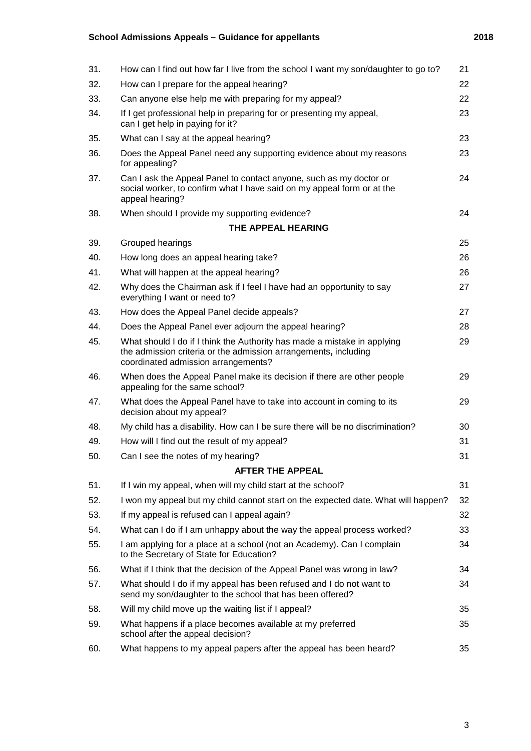### **School Admissions Appeals – Guidance for appellants 2018**

| 31. | How can I find out how far I live from the school I want my son/daughter to go to?                                                                                                 | 21 |
|-----|------------------------------------------------------------------------------------------------------------------------------------------------------------------------------------|----|
| 32. | How can I prepare for the appeal hearing?                                                                                                                                          | 22 |
| 33. | Can anyone else help me with preparing for my appeal?                                                                                                                              | 22 |
| 34. | If I get professional help in preparing for or presenting my appeal,<br>can I get help in paying for it?                                                                           | 23 |
| 35. | What can I say at the appeal hearing?                                                                                                                                              | 23 |
| 36. | Does the Appeal Panel need any supporting evidence about my reasons<br>for appealing?                                                                                              | 23 |
| 37. | Can I ask the Appeal Panel to contact anyone, such as my doctor or<br>social worker, to confirm what I have said on my appeal form or at the<br>appeal hearing?                    | 24 |
| 38. | When should I provide my supporting evidence?                                                                                                                                      | 24 |
|     | THE APPEAL HEARING                                                                                                                                                                 |    |
| 39. | Grouped hearings                                                                                                                                                                   | 25 |
| 40. | How long does an appeal hearing take?                                                                                                                                              | 26 |
| 41. | What will happen at the appeal hearing?                                                                                                                                            | 26 |
| 42. | Why does the Chairman ask if I feel I have had an opportunity to say<br>everything I want or need to?                                                                              | 27 |
| 43. | How does the Appeal Panel decide appeals?                                                                                                                                          | 27 |
| 44. | Does the Appeal Panel ever adjourn the appeal hearing?                                                                                                                             | 28 |
| 45. | What should I do if I think the Authority has made a mistake in applying<br>the admission criteria or the admission arrangements, including<br>coordinated admission arrangements? | 29 |
| 46. | When does the Appeal Panel make its decision if there are other people<br>appealing for the same school?                                                                           | 29 |
| 47. | What does the Appeal Panel have to take into account in coming to its<br>decision about my appeal?                                                                                 | 29 |
| 48. | My child has a disability. How can I be sure there will be no discrimination?                                                                                                      | 30 |
| 49. | How will I find out the result of my appeal?                                                                                                                                       | 31 |
| 50. | Can I see the notes of my hearing?                                                                                                                                                 | 31 |
|     | <b>AFTER THE APPEAL</b>                                                                                                                                                            |    |
| 51. | If I win my appeal, when will my child start at the school?                                                                                                                        | 31 |
| 52. | I won my appeal but my child cannot start on the expected date. What will happen?                                                                                                  | 32 |
| 53. | If my appeal is refused can I appeal again?                                                                                                                                        | 32 |
| 54. | What can I do if I am unhappy about the way the appeal process worked?                                                                                                             | 33 |
| 55. | I am applying for a place at a school (not an Academy). Can I complain<br>to the Secretary of State for Education?                                                                 | 34 |
| 56. | What if I think that the decision of the Appeal Panel was wrong in law?                                                                                                            | 34 |
| 57. | What should I do if my appeal has been refused and I do not want to<br>send my son/daughter to the school that has been offered?                                                   | 34 |
| 58. | Will my child move up the waiting list if I appeal?                                                                                                                                | 35 |
| 59. | What happens if a place becomes available at my preferred<br>school after the appeal decision?                                                                                     | 35 |
| 60. | What happens to my appeal papers after the appeal has been heard?                                                                                                                  | 35 |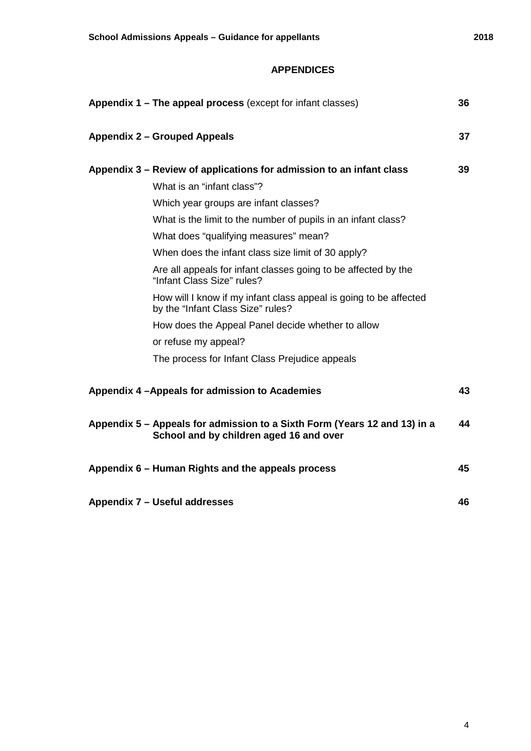#### **APPENDICES**

|                                                                      | Appendix 1 – The appeal process (except for infant classes)                                                          | 36 |
|----------------------------------------------------------------------|----------------------------------------------------------------------------------------------------------------------|----|
|                                                                      | <b>Appendix 2 - Grouped Appeals</b>                                                                                  | 37 |
| Appendix 3 – Review of applications for admission to an infant class |                                                                                                                      |    |
|                                                                      | What is an "infant class"?                                                                                           |    |
|                                                                      | Which year groups are infant classes?                                                                                |    |
|                                                                      | What is the limit to the number of pupils in an infant class?                                                        |    |
|                                                                      | What does "qualifying measures" mean?                                                                                |    |
|                                                                      | When does the infant class size limit of 30 apply?                                                                   |    |
|                                                                      | Are all appeals for infant classes going to be affected by the<br>"Infant Class Size" rules?                         |    |
|                                                                      | How will I know if my infant class appeal is going to be affected<br>by the "Infant Class Size" rules?               |    |
|                                                                      | How does the Appeal Panel decide whether to allow                                                                    |    |
|                                                                      | or refuse my appeal?                                                                                                 |    |
|                                                                      | The process for Infant Class Prejudice appeals                                                                       |    |
|                                                                      | Appendix 4 - Appeals for admission to Academies                                                                      | 43 |
|                                                                      | Appendix 5 – Appeals for admission to a Sixth Form (Years 12 and 13) in a<br>School and by children aged 16 and over | 44 |
|                                                                      | Appendix 6 - Human Rights and the appeals process                                                                    | 45 |
|                                                                      | Appendix 7 - Useful addresses                                                                                        | 46 |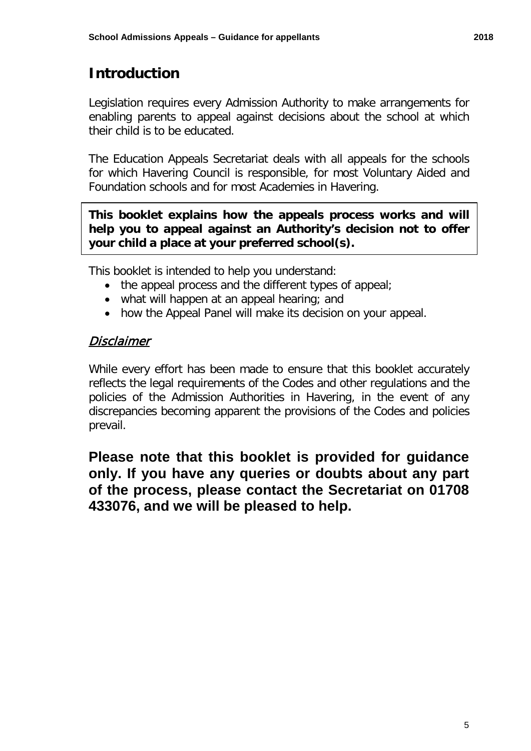## **Introduction**

 Legislation requires every Admission Authority to make arrangements for enabling parents to appeal against decisions about the school at which their child is to be educated.

 The Education Appeals Secretariat deals with all appeals for the schools for which Havering Council is responsible, for most Voluntary Aided and Foundation schools and for most Academies in Havering.

 **help you to appeal against an Authority's decision not to offer This booklet explains how the appeals process works and will your child a place at your preferred school(s).** 

This booklet is intended to help you understand:

- the appeal process and the different types of appeal;
- what will happen at an appeal hearing; and
- how the Appeal Panel will make its decision on your appeal.

### Disclaimer

 reflects the legal requirements of the Codes and other regulations and the policies of the Admission Authorities in Havering, in the event of any While every effort has been made to ensure that this booklet accurately discrepancies becoming apparent the provisions of the Codes and policies prevail.

 **Please note that this booklet is provided for guidance of the process, please contact the Secretariat on 01708 433076, and we will be pleased to help. only. If you have any queries or doubts about any part**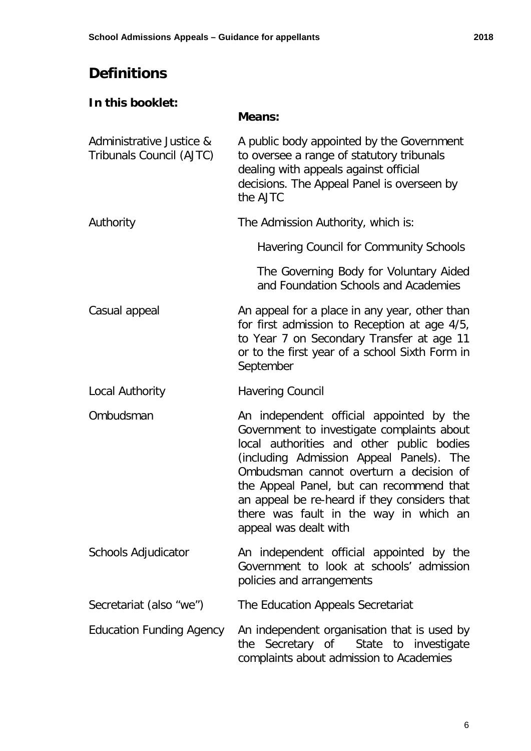## **Definitions**

### **In this booklet:**

## **Means:**

| Administrative Justice &<br>Tribunals Council (AJTC) | A public body appointed by the Government<br>to oversee a range of statutory tribunals<br>dealing with appeals against official<br>decisions. The Appeal Panel is overseen by<br>the AJTC                                                                                                                                                                                                 |
|------------------------------------------------------|-------------------------------------------------------------------------------------------------------------------------------------------------------------------------------------------------------------------------------------------------------------------------------------------------------------------------------------------------------------------------------------------|
| Authority                                            | The Admission Authority, which is:                                                                                                                                                                                                                                                                                                                                                        |
|                                                      | Havering Council for Community Schools                                                                                                                                                                                                                                                                                                                                                    |
|                                                      | The Governing Body for Voluntary Aided<br>and Foundation Schools and Academies                                                                                                                                                                                                                                                                                                            |
| Casual appeal                                        | An appeal for a place in any year, other than<br>for first admission to Reception at age 4/5,<br>to Year 7 on Secondary Transfer at age 11<br>or to the first year of a school Sixth Form in<br>September                                                                                                                                                                                 |
| Local Authority                                      | <b>Havering Council</b>                                                                                                                                                                                                                                                                                                                                                                   |
| Ombudsman                                            | An independent official appointed by the<br>Government to investigate complaints about<br>local authorities and other public bodies<br>(including Admission Appeal Panels). The<br>Ombudsman cannot overturn a decision of<br>the Appeal Panel, but can recommend that<br>an appeal be re-heard if they considers that<br>there was fault in the way in which an<br>appeal was dealt with |
| Schools Adjudicator                                  | An independent official appointed by the<br>Government to look at schools' admission<br>policies and arrangements                                                                                                                                                                                                                                                                         |
| Secretariat (also "we")                              | The Education Appeals Secretariat                                                                                                                                                                                                                                                                                                                                                         |
| <b>Education Funding Agency</b>                      | An independent organisation that is used by<br>Secretary of<br>State to investigate<br>the<br>complaints about admission to Academies                                                                                                                                                                                                                                                     |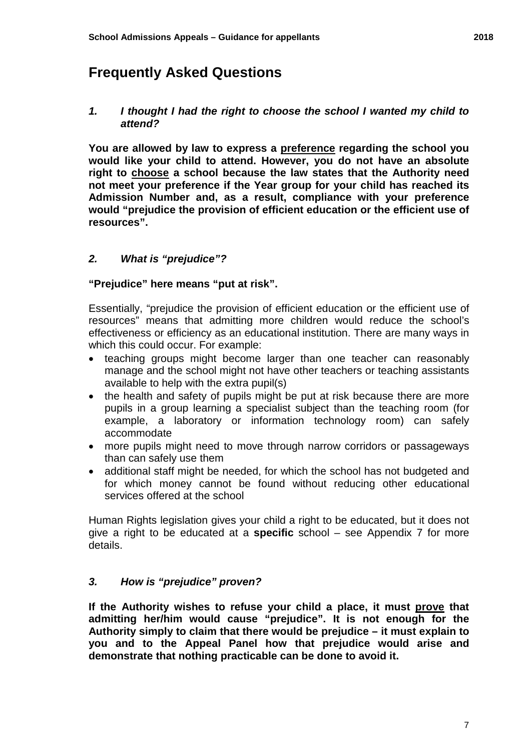## **Frequently Asked Questions**

#### *1. I thought I had the right to choose the school I wanted my child to attend?*

 **right to choose a school because the law states that the Authority need You are allowed by law to express a preference regarding the school you would like your child to attend. However, you do not have an absolute not meet your preference if the Year group for your child has reached its Admission Number and, as a result, compliance with your preference would "prejudice the provision of efficient education or the efficient use of resources".** 

#### *2. What is "prejudice"?*

#### **"Prejudice" here means "put at risk".**

Essentially, "prejudice the provision of efficient education or the efficient use of resources" means that admitting more children would reduce the school's effectiveness or efficiency as an educational institution. There are many ways in which this could occur. For example:

- teaching groups might become larger than one teacher can reasonably manage and the school might not have other teachers or teaching assistants available to help with the extra pupil(s)
- the health and safety of pupils might be put at risk because there are more pupils in a group learning a specialist subject than the teaching room (for example, a laboratory or information technology room) can safely accommodate
- more pupils might need to move through narrow corridors or passageways than can safely use them
- services offered at the school • additional staff might be needed, for which the school has not budgeted and for which money cannot be found without reducing other educational

 Human Rights legislation gives your child a right to be educated, but it does not give a right to be educated at a **specific** school – see Appendix 7 for more details.

#### *3. How is "prejudice" proven?*

 **admitting her/him would cause "prejudice". It is not enough for the If the Authority wishes to refuse your child a place, it must prove that Authority simply to claim that there would be prejudice – it must explain to you and to the Appeal Panel how that prejudice would arise and demonstrate that nothing practicable can be done to avoid it.**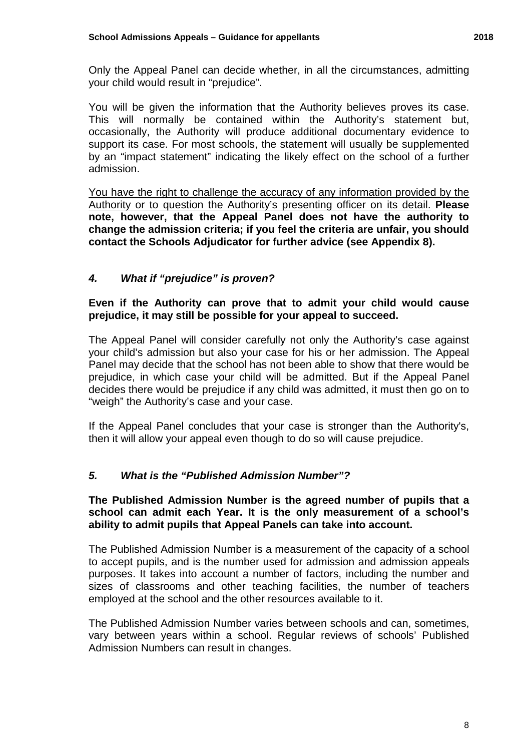Only the Appeal Panel can decide whether, in all the circumstances, admitting your child would result in "prejudice".

 support its case. For most schools, the statement will usually be supplemented by an "impact statement" indicating the likely effect on the school of a further You will be given the information that the Authority believes proves its case. This will normally be contained within the Authority's statement but, occasionally, the Authority will produce additional documentary evidence to admission.

You have the right to challenge the accuracy of any information provided by the Authority or to question the Authority's presenting officer on its detail. **Please note, however, that the Appeal Panel does not have the authority to change the admission criteria; if you feel the criteria are unfair, you should contact the Schools Adjudicator for further advice (see Appendix 8).** 

### *4. What if "prejudice" is proven?*

 **Even if the Authority can prove that to admit your child would cause prejudice, it may still be possible for your appeal to succeed.** 

The Appeal Panel will consider carefully not only the Authority's case against your child's admission but also your case for his or her admission. The Appeal Panel may decide that the school has not been able to show that there would be prejudice, in which case your child will be admitted. But if the Appeal Panel decides there would be prejudice if any child was admitted, it must then go on to "weigh" the Authority's case and your case.

If the Appeal Panel concludes that your case is stronger than the Authority's, then it will allow your appeal even though to do so will cause prejudice.

#### *5. What is the "Published Admission Number"?*

#### **The Published Admission Number is the agreed number of pupils that a school can admit each Year. It is the only measurement of a school's ability to admit pupils that Appeal Panels can take into account.**

The Published Admission Number is a measurement of the capacity of a school to accept pupils, and is the number used for admission and admission appeals purposes. It takes into account a number of factors, including the number and sizes of classrooms and other teaching facilities, the number of teachers employed at the school and the other resources available to it.

Admission Numbers can result in changes. The Published Admission Number varies between schools and can, sometimes, vary between years within a school. Regular reviews of schools' Published Admission Numbers can result in changes.<br>
8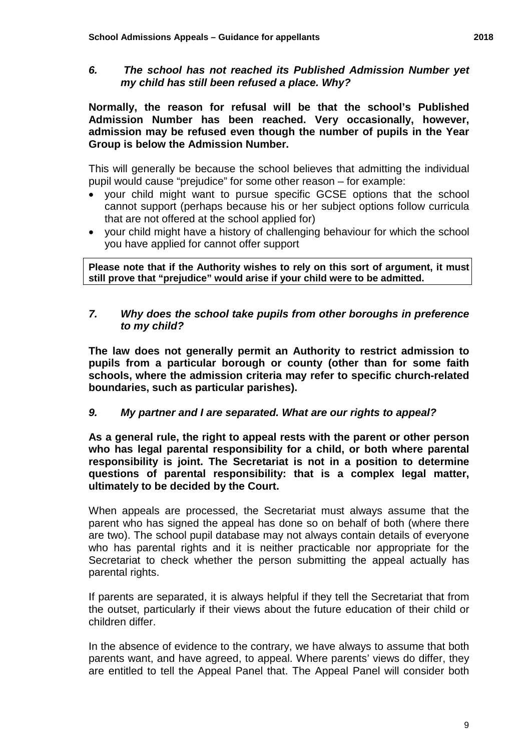#### *my child has still been refused a place. Why? 6. The school has not reached its Published Admission Number yet*

**Normally, the reason for refusal will be that the school's Published Admission Number has been reached. Very occasionally, however, admission may be refused even though the number of pupils in the Year Group is below the Admission Number.** 

This will generally be because the school believes that admitting the individual pupil would cause "prejudice" for some other reason – for example:

- $\bullet$  that are not offered at the school applied for) • your child might want to pursue specific GCSE options that the school cannot support (perhaps because his or her subject options follow curricula
- $\bullet$ • your child might have a history of challenging behaviour for which the school you have applied for cannot offer support

 **Please note that if the Authority wishes to rely on this sort of argument, it must still prove that "prejudice" would arise if your child were to be admitted.** 

#### *7. Why does the school take pupils from other boroughs in preference to my child?*

 **The law does not generally permit an Authority to restrict admission to pupils from a particular borough or county (other than for some faith schools, where the admission criteria may refer to specific church-related boundaries, such as particular parishes).** 

#### *9. My partner and I are separated. What are our rights to appeal?*

 **who has legal parental responsibility for a child, or both where parental As a general rule, the right to appeal rests with the parent or other person responsibility is joint. The Secretariat is not in a position to determine questions of parental responsibility: that is a complex legal matter, ultimately to be decided by the Court.** 

 are two). The school pupil database may not always contain details of everyone When appeals are processed, the Secretariat must always assume that the parent who has signed the appeal has done so on behalf of both (where there who has parental rights and it is neither practicable nor appropriate for the Secretariat to check whether the person submitting the appeal actually has parental rights.

If parents are separated, it is always helpful if they tell the Secretariat that from the outset, particularly if their views about the future education of their child or children differ.

 are entitled to tell the Appeal Panel that. The Appeal Panel will consider both In the absence of evidence to the contrary, we have always to assume that both parents want, and have agreed, to appeal. Where parents' views do differ, they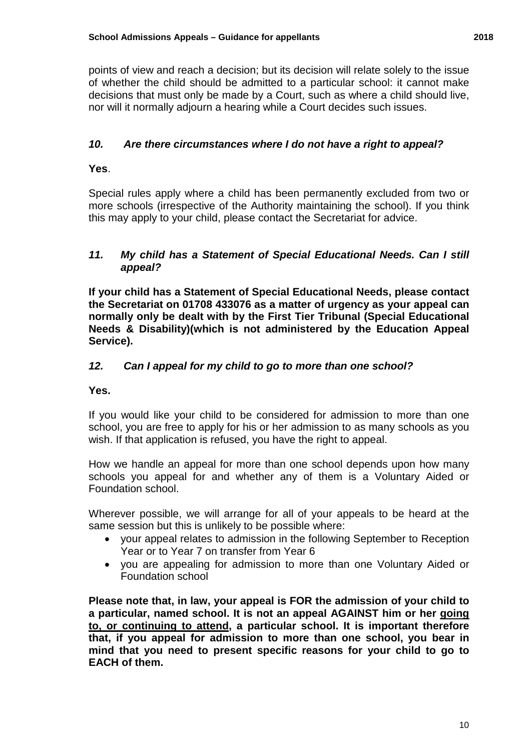nor will it normally adjourn a hearing while a Court decides such issues. points of view and reach a decision; but its decision will relate solely to the issue of whether the child should be admitted to a particular school: it cannot make decisions that must only be made by a Court, such as where a child should live,

#### $10.$ *10. Are there circumstances where I do not have a right to appeal?*

#### **Yes**.

Special rules apply where a child has been permanently excluded from two or more schools (irrespective of the Authority maintaining the school). If you think this may apply to your child, please contact the Secretariat for advice.

#### *11. My child has a Statement of Special Educational Needs. Can I still appeal?*

**If your child has a Statement of Special Educational Needs, please contact the Secretariat on 01708 433076 as a matter of urgency as your appeal can normally only be dealt with by the First Tier Tribunal (Special Educational Needs & Disability)(which is not administered by the Education Appeal Service).** 

#### $12.$ *12. Can I appeal for my child to go to more than one school?*

#### **Yes.**

 school, you are free to apply for his or her admission to as many schools as you If you would like your child to be considered for admission to more than one wish. If that application is refused, you have the right to appeal.

 How we handle an appeal for more than one school depends upon how many schools you appeal for and whether any of them is a Voluntary Aided or Foundation school.

Wherever possible, we will arrange for all of your appeals to be heard at the same session but this is unlikely to be possible where:

- your appeal relates to admission in the following September to Reception Year or to Year 7 on transfer from Year 6
- you are appealing for admission to more than one Voluntary Aided or Foundation school

 **Please note that, in law, your appeal is FOR the admission of your child to to, or continuing to attend, a particular school. It is important therefore that, if you appeal for admission to more than one school, you bear in a particular, named school. It is not an appeal AGAINST him or her going mind that you need to present specific reasons for your child to go to EACH of them.**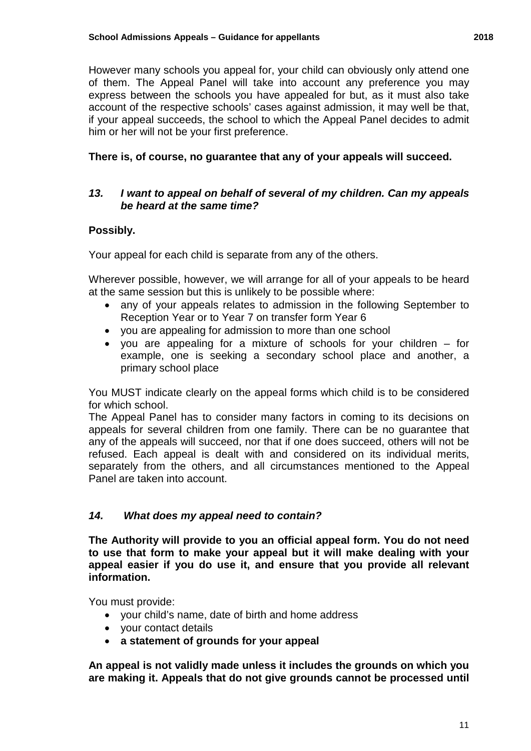However many schools you appeal for, your child can obviously only attend one of them. The Appeal Panel will take into account any preference you may him or her will not be your first preference. express between the schools you have appealed for but, as it must also take account of the respective schools' cases against admission, it may well be that, if your appeal succeeds, the school to which the Appeal Panel decides to admit

### **There is, of course, no guarantee that any of your appeals will succeed.**

#### *13. I want to appeal on behalf of several of my children. Can my appeals be heard at the same time?*

### **Possibly.**

Your appeal for each child is separate from any of the others.

Wherever possible, however, we will arrange for all of your appeals to be heard at the same session but this is unlikely to be possible where:

- Reception Year or to Year 7 on transfer form Year 6 • any of your appeals relates to admission in the following September to
- you are appealing for admission to more than one school
- you are appealing for a mixture of schools for your children for example, one is seeking a secondary school place and another, a primary school place

You MUST indicate clearly on the appeal forms which child is to be considered for which school.

 any of the appeals will succeed, nor that if one does succeed, others will not be The Appeal Panel has to consider many factors in coming to its decisions on appeals for several children from one family. There can be no guarantee that refused. Each appeal is dealt with and considered on its individual merits, separately from the others, and all circumstances mentioned to the Appeal Panel are taken into account.

#### $14.$ *14. What does my appeal need to contain?*

**The Authority will provide to you an official appeal form. You do not need to use that form to make your appeal but it will make dealing with your appeal easier if you do use it, and ensure that you provide all relevant information.** 

You must provide:

- your child's name, date of birth and home address
- your contact details
- **a statement of grounds for your appeal**

**An appeal is not validly made unless it includes the grounds on which you are making it. Appeals that do not give grounds cannot be processed until**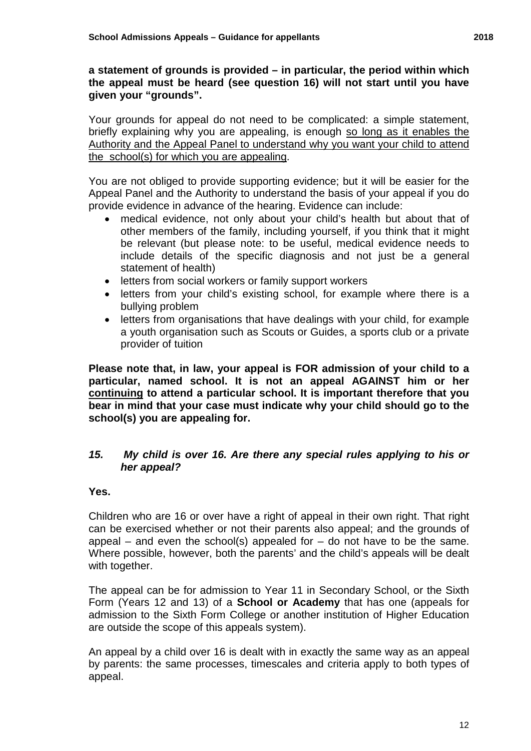**a statement of grounds is provided – in particular, the period within which the appeal must be heard (see question 16) will not start until you have given your "grounds".** 

briefly explaining why you are appealing, is enough so long as it enables the Authority and the Appeal Panel to understand why you want your child to attend Your grounds for appeal do not need to be complicated: a simple statement, the school(s) for which you are appealing.

 You are not obliged to provide supporting evidence; but it will be easier for the Appeal Panel and the Authority to understand the basis of your appeal if you do provide evidence in advance of the hearing. Evidence can include:

- • medical evidence, not only about your child's health but about that of other members of the family, including yourself, if you think that it might statement of health) be relevant (but please note: to be useful, medical evidence needs to include details of the specific diagnosis and not just be a general
- letters from social workers or family support workers
- letters from your child's existing school, for example where there is a bullying problem
- letters from organisations that have dealings with your child, for example a youth organisation such as Scouts or Guides, a sports club or a private provider of tuition

 **bear in mind that your case must indicate why your child should go to the Please note that, in law, your appeal is FOR admission of your child to a particular, named school. It is not an appeal AGAINST him or her continuing to attend a particular school. It is important therefore that you school(s) you are appealing for.** 

#### $15.$ *15. My child is over 16. Are there any special rules applying to his or her appeal?*

#### **Yes.**

 Children who are 16 or over have a right of appeal in their own right. That right can be exercised whether or not their parents also appeal; and the grounds of appeal – and even the school(s) appealed for  $-$  do not have to be the same. Where possible, however, both the parents' and the child's appeals will be dealt with together.

 Form (Years 12 and 13) of a **School or Academy** that has one (appeals for The appeal can be for admission to Year 11 in Secondary School, or the Sixth admission to the Sixth Form College or another institution of Higher Education are outside the scope of this appeals system).

 by parents: the same processes, timescales and criteria apply to both types of An appeal by a child over 16 is dealt with in exactly the same way as an appeal appeal.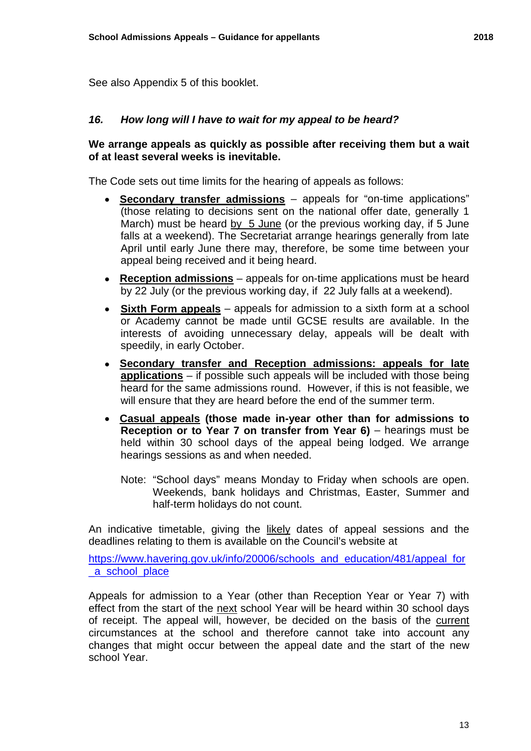See also Appendix 5 of this booklet.

#### *16. How long will I have to wait for my appeal to be heard?*

#### **of at least several weeks is inevitable. We arrange appeals as quickly as possible after receiving them but a wait**

The Code sets out time limits for the hearing of appeals as follows:

- **Secondary transfer admissions**  appeals for "on-time applications" March) must be heard by 5 June (or the previous working day, if 5 June (those relating to decisions sent on the national offer date, generally 1 falls at a weekend). The Secretariat arrange hearings generally from late April until early June there may, therefore, be some time between your appeal being received and it being heard.
- **Reception admissions**  appeals for on-time applications must be heard by 22 July (or the previous working day, if 22 July falls at a weekend).
- • **Sixth Form appeals**  appeals for admission to a sixth form at a school or Academy cannot be made until GCSE results are available. In the interests of avoiding unnecessary delay, appeals will be dealt with speedily, in early October.
- **Secondary transfer and Reception admissions: appeals for late applications** – if possible such appeals will be included with those being heard for the same admissions round. However, if this is not feasible, we will ensure that they are heard before the end of the summer term.
- **Casual appeals (those made in-year other than for admissions to Reception or to Year 7 on transfer from Year 6)** – hearings must be held within 30 school days of the appeal being lodged. We arrange hearings sessions as and when needed.
	- Note: "School days" means Monday to Friday when schools are open. Weekends, bank holidays and Christmas, Easter, Summer and half-term holidays do not count.

An indicative timetable, giving the likely dates of appeal sessions and the deadlines relating to them is available on the Council's website at

https://www.havering.gov.uk/info/20006/schools\_and\_education/481/appeal\_for a school place

 changes that might occur between the appeal date and the start of the new Appeals for admission to a Year (other than Reception Year or Year 7) with effect from the start of the next school Year will be heard within 30 school days of receipt. The appeal will, however, be decided on the basis of the current circumstances at the school and therefore cannot take into account any school Year.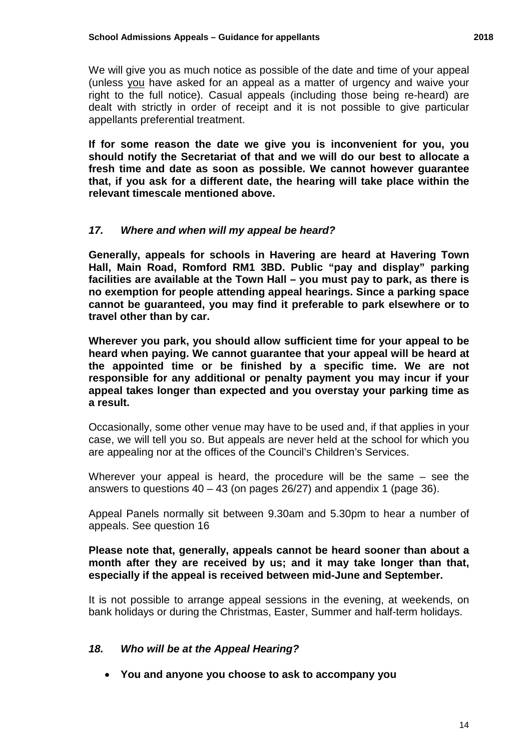We will give you as much notice as possible of the date and time of your appeal (unless you have asked for an appeal as a matter of urgency and waive your right to the full notice). Casual appeals (including those being re-heard) are dealt with strictly in order of receipt and it is not possible to give particular appellants preferential treatment.

 **If for some reason the date we give you is inconvenient for you, you should notify the Secretariat of that and we will do our best to allocate a fresh time and date as soon as possible. We cannot however guarantee that, if you ask for a different date, the hearing will take place within the relevant timescale mentioned above.** 

### *17. Where and when will my appeal be heard?*

**Generally, appeals for schools in Havering are heard at Havering Town Hall, Main Road, Romford RM1 3BD. Public "pay and display" parking facilities are available at the Town Hall – you must pay to park, as there is no exemption for people attending appeal hearings. Since a parking space cannot be guaranteed, you may find it preferable to park elsewhere or to travel other than by car.** 

 **Wherever you park, you should allow sufficient time for your appeal to be responsible for any additional or penalty payment you may incur if your heard when paying. We cannot guarantee that your appeal will be heard at the appointed time or be finished by a specific time. We are not appeal takes longer than expected and you overstay your parking time as a result.** 

 Occasionally, some other venue may have to be used and, if that applies in your case, we will tell you so. But appeals are never held at the school for which you are appealing nor at the offices of the Council's Children's Services.

 answers to questions 40 – 43 (on pages 26/27) and appendix 1 (page 36). Wherever your appeal is heard, the procedure will be the same – see the

Appeal Panels normally sit between 9.30am and 5.30pm to hear a number of appeals. See question 16

#### **Please note that, generally, appeals cannot be heard sooner than about a month after they are received by us; and it may take longer than that, especially if the appeal is received between mid-June and September.**

It is not possible to arrange appeal sessions in the evening, at weekends, on bank holidays or during the Christmas, Easter, Summer and half-term holidays.

#### *18. Who will be at the Appeal Hearing?*

• **You and anyone you choose to ask to accompany you**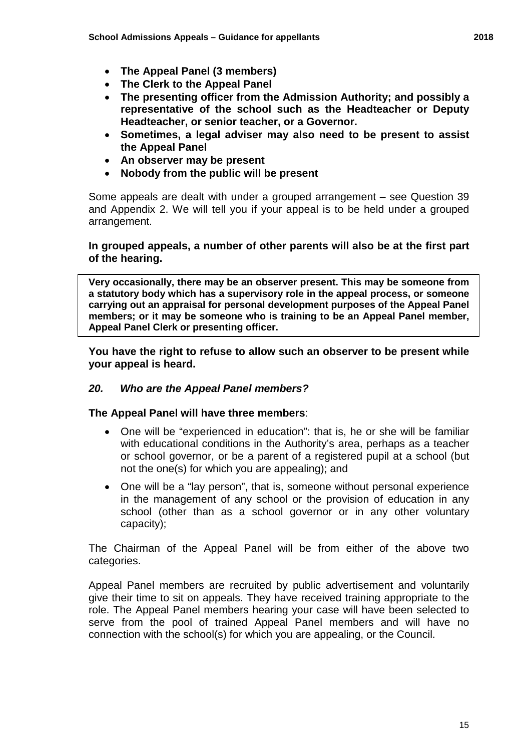- **The Appeal Panel (3 members)**
- **The Clerk to the Appeal Panel**
- **The presenting officer from the Admission Authority; and possibly a representative of the school such as the Headteacher or Deputy Headteacher, or senior teacher, or a Governor.**
- **Sometimes, a legal adviser may also need to be present to assist the Appeal Panel**
- **An observer may be present**
- **Nobody from the public will be present**

 and Appendix 2. We will tell you if your appeal is to be held under a grouped Some appeals are dealt with under a grouped arrangement – see Question 39 arrangement.

#### **In grouped appeals, a number of other parents will also be at the first part of the hearing.**

 **Very occasionally, there may be an observer present. This may be someone from a statutory body which has a supervisory role in the appeal process, or someone Appeal Panel Clerk or presenting officer. carrying out an appraisal for personal development purposes of the Appeal Panel members; or it may be someone who is training to be an Appeal Panel member,** 

 **You have the right to refuse to allow such an observer to be present while your appeal is heard.** 

#### *20. Who are the Appeal Panel members?*

**The Appeal Panel will have three members**:

- • One will be "experienced in education": that is, he or she will be familiar with educational conditions in the Authority's area, perhaps as a teacher not the one(s) for which you are appealing); and or school governor, or be a parent of a registered pupil at a school (but
- • One will be a "lay person", that is, someone without personal experience in the management of any school or the provision of education in any school (other than as a school governor or in any other voluntary capacity);

The Chairman of the Appeal Panel will be from either of the above two categories.

Appeal Panel members are recruited by public advertisement and voluntarily give their time to sit on appeals. They have received training appropriate to the role. The Appeal Panel members hearing your case will have been selected to serve from the pool of trained Appeal Panel members and will have no connection with the school(s) for which you are appealing, or the Council.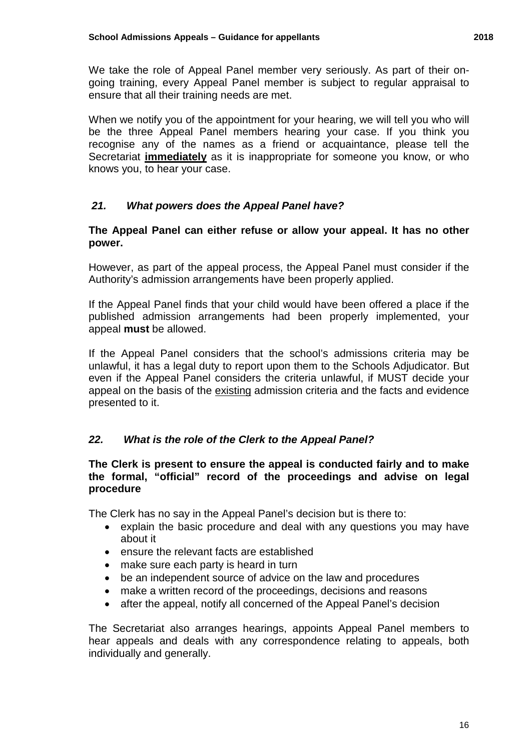going training, every Appeal Panel member is subject to regular appraisal to We take the role of Appeal Panel member very seriously. As part of their onensure that all their training needs are met.

 recognise any of the names as a friend or acquaintance, please tell the When we notify you of the appointment for your hearing, we will tell you who will be the three Appeal Panel members hearing your case. If you think you Secretariat **immediately** as it is inappropriate for someone you know, or who knows you, to hear your case.

#### $21.$ *21. What powers does the Appeal Panel have?*

#### **The Appeal Panel can either refuse or allow your appeal. It has no other power.**

 However, as part of the appeal process, the Appeal Panel must consider if the Authority's admission arrangements have been properly applied.

If the Appeal Panel finds that your child would have been offered a place if the published admission arrangements had been properly implemented, your appeal **must** be allowed.

 If the Appeal Panel considers that the school's admissions criteria may be appeal on the basis of the existing admission criteria and the facts and evidence unlawful, it has a legal duty to report upon them to the Schools Adjudicator. But even if the Appeal Panel considers the criteria unlawful, if MUST decide your presented to it.

#### $22.$ *22. What is the role of the Clerk to the Appeal Panel?*

#### **The Clerk is present to ensure the appeal is conducted fairly and to make the formal, "official" record of the proceedings and advise on legal procedure**

The Clerk has no say in the Appeal Panel's decision but is there to:

- explain the basic procedure and deal with any questions you may have about it
- ensure the relevant facts are established
- make sure each party is heard in turn
- be an independent source of advice on the law and procedures
- make a written record of the proceedings, decisions and reasons
- after the appeal, notify all concerned of the Appeal Panel's decision

The Secretariat also arranges hearings, appoints Appeal Panel members to hear appeals and deals with any correspondence relating to appeals, both individually and generally.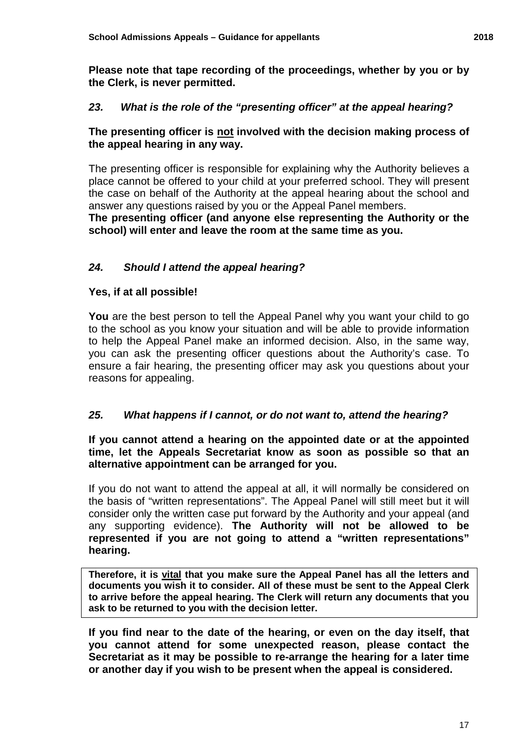**Please note that tape recording of the proceedings, whether by you or by the Clerk, is never permitted.** 

### *23. What is the role of the "presenting officer" at the appeal hearing?*

#### **The presenting officer is not involved with the decision making process of the appeal hearing in any way.**

 answer any questions raised by you or the Appeal Panel members. The presenting officer is responsible for explaining why the Authority believes a place cannot be offered to your child at your preferred school. They will present the case on behalf of the Authority at the appeal hearing about the school and

 **The presenting officer (and anyone else representing the Authority or the school) will enter and leave the room at the same time as you.** 

#### $24.$ *24. Should I attend the appeal hearing?*

#### **Yes, if at all possible!**

 **You** are the best person to tell the Appeal Panel why you want your child to go you can ask the presenting officer questions about the Authority's case. To ensure a fair hearing, the presenting officer may ask you questions about your to the school as you know your situation and will be able to provide information to help the Appeal Panel make an informed decision. Also, in the same way, reasons for appealing.

#### $25.$ *25. What happens if I cannot, or do not want to, attend the hearing?*

#### **If you cannot attend a hearing on the appointed date or at the appointed time, let the Appeals Secretariat know as soon as possible so that an alternative appointment can be arranged for you.**

 If you do not want to attend the appeal at all, it will normally be considered on the basis of "written representations". The Appeal Panel will still meet but it will consider only the written case put forward by the Authority and your appeal (and any supporting evidence). **The Authority will not be allowed to be represented if you are not going to attend a "written representations" hearing.** 

**Therefore, it is vital that you make sure the Appeal Panel has all the letters and documents you wish it to consider. All of these must be sent to the Appeal Clerk to arrive before the appeal hearing. The Clerk will return any documents that you ask to be returned to you with the decision letter.** 

**If you find near to the date of the hearing, or even on the day itself, that you cannot attend for some unexpected reason, please contact the Secretariat as it may be possible to re-arrange the hearing for a later time or another day if you wish to be present when the appeal is considered.**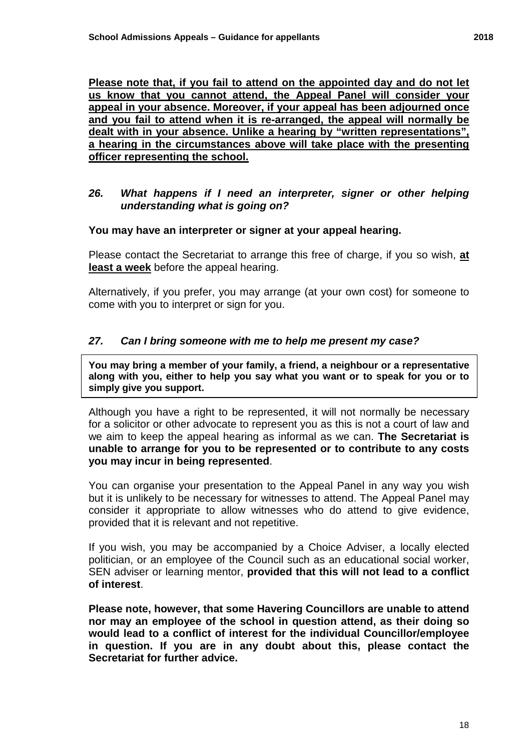**appeal in your absence. Moreover, if your appeal has been adjourned once and you fail to attend when it is re-arranged, the appeal will normally be dealt with in your absence. Unlike a hearing by "written representations", officer representing the school. Please note that, if you fail to attend on the appointed day and do not let us know that you cannot attend, the Appeal Panel will consider your a hearing in the circumstances above will take place with the presenting** 

#### *26. What happens if I need an interpreter, signer or other helping understanding what is going on?*

#### **You may have an interpreter or signer at your appeal hearing.**

 **least a week** before the appeal hearing. Please contact the Secretariat to arrange this free of charge, if you so wish, **at** 

Alternatively, if you prefer, you may arrange (at your own cost) for someone to come with you to interpret or sign for you.

#### *27. Can I bring someone with me to help me present my case?*

 **You may bring a member of your family, a friend, a neighbour or a representative along with you, either to help you say what you want or to speak for you or to simply give you support.** 

 Although you have a right to be represented, it will not normally be necessary for a solicitor or other advocate to represent you as this is not a court of law and we aim to keep the appeal hearing as informal as we can. **The Secretariat is unable to arrange for you to be represented or to contribute to any costs you may incur in being represented**.

 but it is unlikely to be necessary for witnesses to attend. The Appeal Panel may provided that it is relevant and not repetitive. You can organise your presentation to the Appeal Panel in any way you wish consider it appropriate to allow witnesses who do attend to give evidence,

If you wish, you may be accompanied by a Choice Adviser, a locally elected politician, or an employee of the Council such as an educational social worker, SEN adviser or learning mentor, **provided that this will not lead to a conflict of interest**.

 **nor may an employee of the school in question attend, as their doing so in question. If you are in any doubt about this, please contact the Please note, however, that some Havering Councillors are unable to attend would lead to a conflict of interest for the individual Councillor/employee Secretariat for further advice.**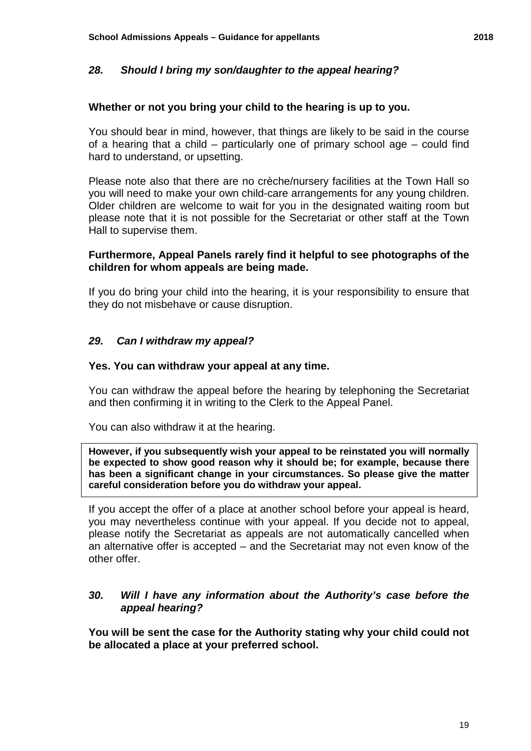#### **Whether or not you bring your child to the hearing is up to you.**

 of a hearing that a child – particularly one of primary school age – could find You should bear in mind, however, that things are likely to be said in the course hard to understand, or upsetting.

Please note also that there are no crèche/nursery facilities at the Town Hall so you will need to make your own child-care arrangements for any young children. Older children are welcome to wait for you in the designated waiting room but please note that it is not possible for the Secretariat or other staff at the Town Hall to supervise them.

#### **Furthermore, Appeal Panels rarely find it helpful to see photographs of the children for whom appeals are being made.**

If you do bring your child into the hearing, it is your responsibility to ensure that they do not misbehave or cause disruption.

#### *29. Can I withdraw my appeal?*

#### **Yes. You can withdraw your appeal at any time.**

You can withdraw the appeal before the hearing by telephoning the Secretariat and then confirming it in writing to the Clerk to the Appeal Panel.

You can also withdraw it at the hearing.

 **However, if you subsequently wish your appeal to be reinstated you will normally has been a significant change in your circumstances. So please give the matter be expected to show good reason why it should be; for example, because there careful consideration before you do withdraw your appeal.** 

 please notify the Secretariat as appeals are not automatically cancelled when an alternative offer is accepted – and the Secretariat may not even know of the If you accept the offer of a place at another school before your appeal is heard, you may nevertheless continue with your appeal. If you decide not to appeal, other offer.

#### *30. Will I have any information about the Authority's case before the appeal hearing?*

 **You will be sent the case for the Authority stating why your child could not be allocated a place at your preferred school.**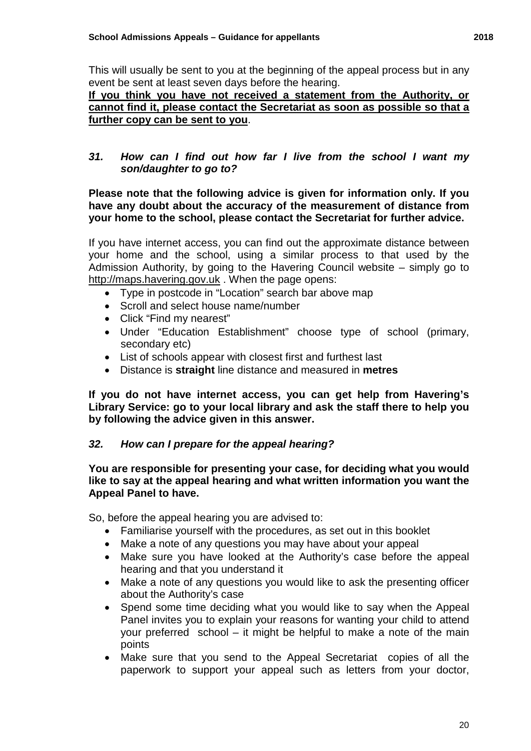This will usually be sent to you at the beginning of the appeal process but in any event be sent at least seven days before the hearing.

 **If you think you have not received a statement from the Authority, or cannot find it, please contact the Secretariat as soon as possible so that a further copy can be sent to you**.

#### *31. How can I find out how far I live from the school I want my son/daughter to go to?*

#### **Please note that the following advice is given for information only. If you have any doubt about the accuracy of the measurement of distance from your home to the school, please contact the Secretariat for further advice.**

 [http://maps.havering.gov.uk](http://maps.havering.gov.uk/) . When the page opens: If you have internet access, you can find out the approximate distance between your home and the school, using a similar process to that used by the Admission Authority, by going to the Havering Council website – simply go to

- Type in postcode in "Location" search bar above map
- Scroll and select house name/number
- Click "Find my nearest"
- Under "Education Establishment" choose type of school (primary, secondary etc)
- List of schools appear with closest first and furthest last
- Distance is **straight** line distance and measured in **metres**

**If you do not have internet access, you can get help from Havering's Library Service: go to your local library and ask the staff there to help you by following the advice given in this answer.** 

#### *32. How can I prepare for the appeal hearing?*

#### **You are responsible for presenting your case, for deciding what you would like to say at the appeal hearing and what written information you want the Appeal Panel to have.**

So, before the appeal hearing you are advised to:

- Familiarise yourself with the procedures, as set out in this booklet
- Make a note of any questions you may have about your appeal
- Make sure you have looked at the Authority's case before the appeal hearing and that you understand it
- • Make a note of any questions you would like to ask the presenting officer about the Authority's case
- Panel invites you to explain your reasons for wanting your child to attend your preferred school – it might be helpful to make a note of the main • Spend some time deciding what you would like to say when the Appeal points
- • Make sure that you send to the Appeal Secretariat copies of all the paperwork to support your appeal such as letters from your doctor,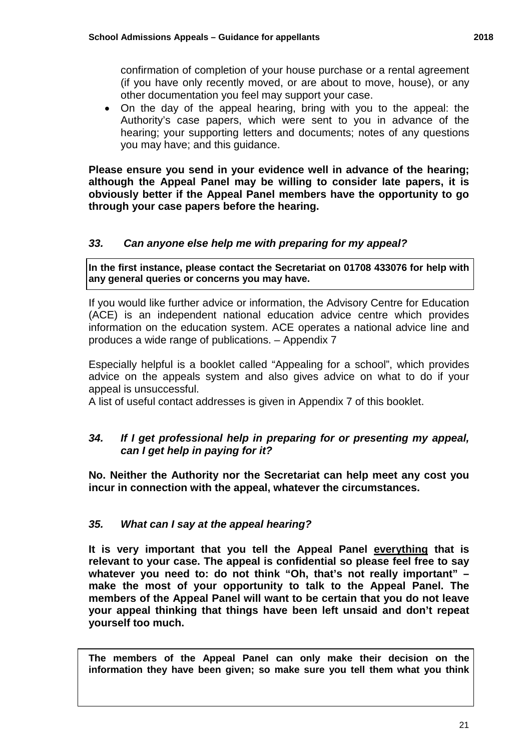• On the day of the appeal hearing, bring with you to the appeal: the Authority's case papers, which were sent to you in advance of the hearing; your supporting letters and documents; notes of any questions you may have; and this guidance.

 **although the Appeal Panel may be willing to consider late papers, it is Please ensure you send in your evidence well in advance of the hearing; obviously better if the Appeal Panel members have the opportunity to go through your case papers before the hearing.** 

#### $33.$ *33. Can anyone else help me with preparing for my appeal?*

**In the first instance, please contact the Secretariat on 01708 433076 for help with any general queries or concerns you may have.** 

 (ACE) is an independent national education advice centre which provides produces a wide range of publications. – Appendix 7 If you would like further advice or information, the Advisory Centre for Education information on the education system. ACE operates a national advice line and

Especially helpful is a booklet called "Appealing for a school", which provides advice on the appeals system and also gives advice on what to do if your appeal is unsuccessful.

A list of useful contact addresses is given in Appendix 7 of this booklet.

### *34. If I get professional help in preparing for or presenting my appeal, can I get help in paying for it?*

 **No. Neither the Authority nor the Secretariat can help meet any cost you incur in connection with the appeal, whatever the circumstances.** 

### *35. What can I say at the appeal hearing?*

**It is very important that you tell the Appeal Panel everything that is relevant to your case. The appeal is confidential so please feel free to say whatever you need to: do not think "Oh, that's not really important" – make the most of your opportunity to talk to the Appeal Panel. The members of the Appeal Panel will want to be certain that you do not leave your appeal thinking that things have been left unsaid and don't repeat yourself too much.** 

 **information they have been given; so make sure you tell them what you think The members of the Appeal Panel can only make their decision on the**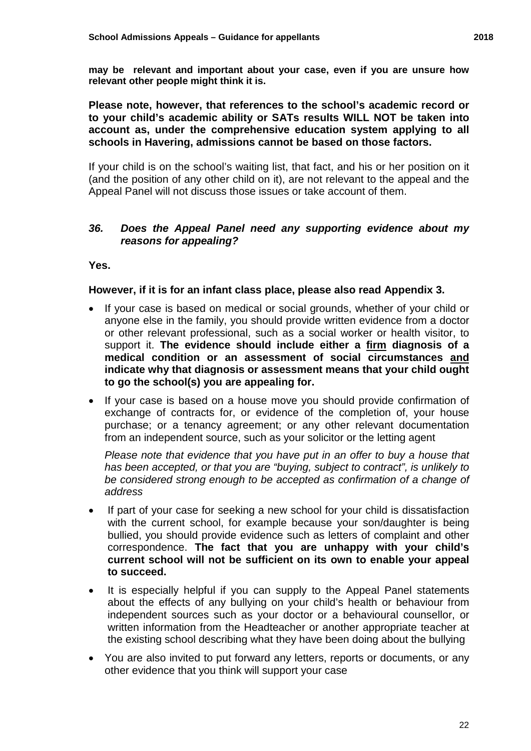**may be relevant and important about your case, even if you are unsure how relevant other people might think it is.** 

**Please note, however, that references to the school's academic record or to your child's academic ability or SATs results WILL NOT be taken into account as, under the comprehensive education system applying to all schools in Havering, admissions cannot be based on those factors.** 

 (and the position of any other child on it), are not relevant to the appeal and the Appeal Panel will not discuss those issues or take account of them. If your child is on the school's waiting list, that fact, and his or her position on it

#### *36. Does the Appeal Panel need any supporting evidence about my reasons for appealing?*

**Yes.** 

#### **However, if it is for an infant class place, please also read Appendix 3.**

- support it. **The evidence should include either a firm diagnosis of a**  If your case is based on medical or social grounds, whether of your child or anyone else in the family, you should provide written evidence from a doctor or other relevant professional, such as a social worker or health visitor, to **medical condition or an assessment of social circumstances and indicate why that diagnosis or assessment means that your child ought to go the school(s) you are appealing for.**
- If your case is based on a house move you should provide confirmation of exchange of contracts for, or evidence of the completion of, your house purchase; or a tenancy agreement; or any other relevant documentation from an independent source, such as your solicitor or the letting agent

*Please note that evidence that you have put in an offer to buy a house that has been accepted, or that you are "buying, subject to contract", is unlikely to be considered strong enough to be accepted as confirmation of a change of address* 

- If part of your case for seeking a new school for your child is dissatisfaction with the current school, for example because your son/daughter is being bullied, you should provide evidence such as letters of complaint and other correspondence. **The fact that you are unhappy with your child's current school will not be sufficient on its own to enable your appeal to succeed.**
- It is especially helpful if you can supply to the Appeal Panel statements about the effects of any bullying on your child's health or behaviour from independent sources such as your doctor or a behavioural counsellor, or written information from the Headteacher or another appropriate teacher at the existing school describing what they have been doing about the bullying
- • You are also invited to put forward any letters, reports or documents, or any other evidence that you think will support your case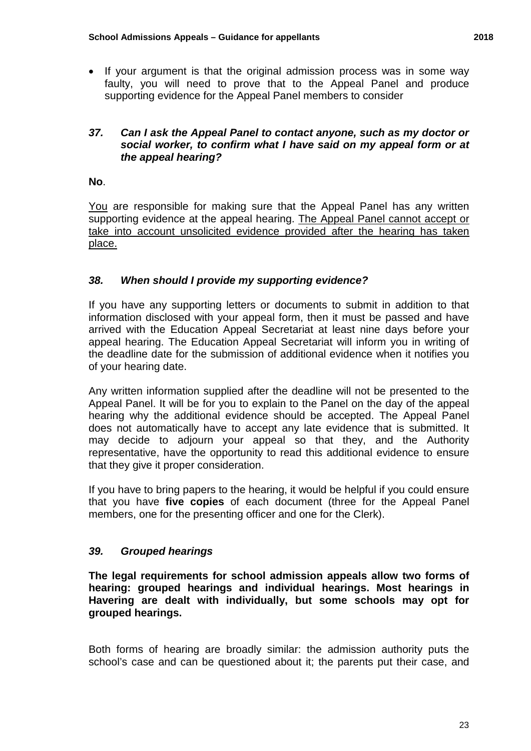• If your argument is that the original admission process was in some way faulty, you will need to prove that to the Appeal Panel and produce supporting evidence for the Appeal Panel members to consider

#### *37. Can I ask the Appeal Panel to contact anyone, such as my doctor or social worker, to confirm what I have said on my appeal form or at the appeal hearing?*

**No**.

supporting evidence at the appeal hearing. The Appeal Panel cannot accept or You are responsible for making sure that the Appeal Panel has any written take into account unsolicited evidence provided after the hearing has taken place.

#### *38. When should I provide my supporting evidence?*

 appeal hearing. The Education Appeal Secretariat will inform you in writing of If you have any supporting letters or documents to submit in addition to that information disclosed with your appeal form, then it must be passed and have arrived with the Education Appeal Secretariat at least nine days before your the deadline date for the submission of additional evidence when it notifies you of your hearing date.

 Appeal Panel. It will be for you to explain to the Panel on the day of the appeal Any written information supplied after the deadline will not be presented to the hearing why the additional evidence should be accepted. The Appeal Panel does not automatically have to accept any late evidence that is submitted. It may decide to adjourn your appeal so that they, and the Authority representative, have the opportunity to read this additional evidence to ensure that they give it proper consideration.

If you have to bring papers to the hearing, it would be helpful if you could ensure that you have **five copies** of each document (three for the Appeal Panel members, one for the presenting officer and one for the Clerk).

#### *39. Grouped hearings*

 **hearing: grouped hearings and individual hearings. Most hearings in The legal requirements for school admission appeals allow two forms of Havering are dealt with individually, but some schools may opt for grouped hearings.** 

 school's case and can be questioned about it; the parents put their case, and Both forms of hearing are broadly similar: the admission authority puts the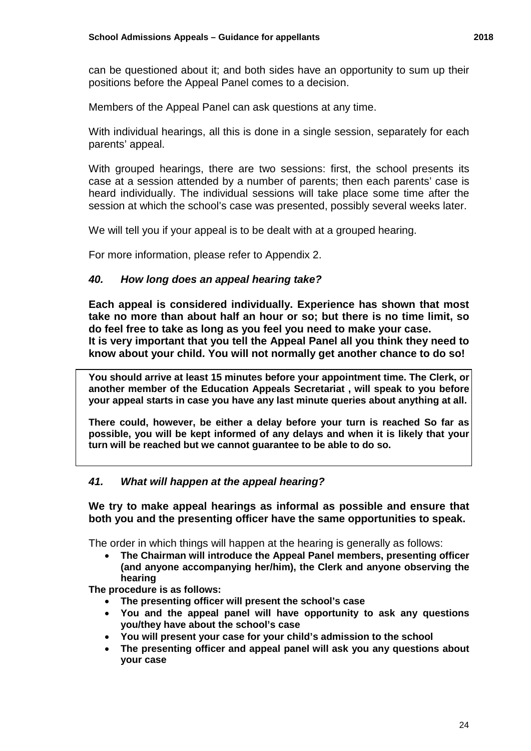can be questioned about it; and both sides have an opportunity to sum up their positions before the Appeal Panel comes to a decision.

Members of the Appeal Panel can ask questions at any time.

With individual hearings, all this is done in a single session, separately for each parents' appeal.

With grouped hearings, there are two sessions: first, the school presents its case at a session attended by a number of parents; then each parents' case is heard individually. The individual sessions will take place some time after the session at which the school's case was presented, possibly several weeks later.

We will tell you if your appeal is to be dealt with at a grouped hearing.

For more information, please refer to Appendix 2.

#### *40. How long does an appeal hearing take?*

 **do feel free to take as long as you feel you need to make your case. It is very important that you tell the Appeal Panel all you think they need to Each appeal is considered individually. Experience has shown that most take no more than about half an hour or so; but there is no time limit, so know about your child. You will not normally get another chance to do so!** 

 **another member of the Education Appeals Secretariat , will speak to you before You should arrive at least 15 minutes before your appointment time. The Clerk, or** 

your appeal starts in case you have any last minute queries about anything at all.<br>There could, however, be either a delay before your turn is reached So far as **possible, you will be kept informed of any delays and when it is likely that your turn will be reached but we cannot guarantee to be able to do so.** 

#### *41. What will happen at the appeal hearing?*

 **both you and the presenting officer have the same opportunities to speak. We try to make appeal hearings as informal as possible and ensure that** 

The order in which things will happen at the hearing is generally as follows:

 • **The Chairman will introduce the Appeal Panel members, presenting officer (and anyone accompanying her/him), the Clerk and anyone observing the hearing**

**The procedure is as follows:** 

- **The presenting officer will present the school's case**
- **You and the appeal panel will have opportunity to ask any questions you/they have about the school's case**
- **You will present your case for your child's admission to the school**
- **The presenting officer and appeal panel will ask you any questions about your case**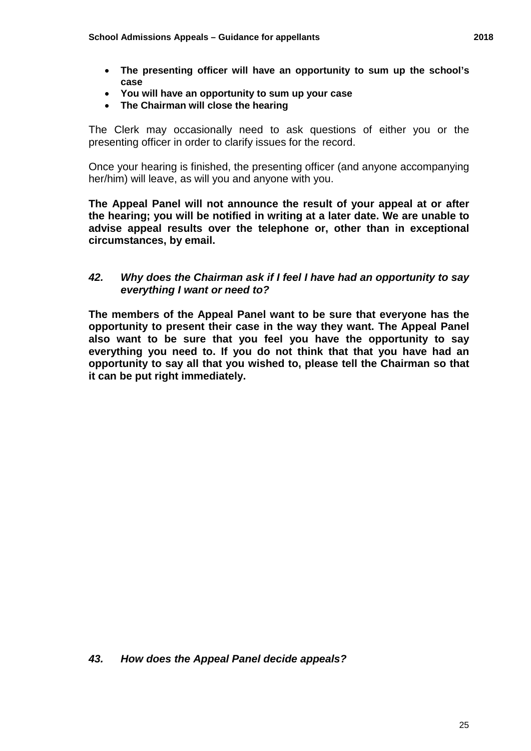- **The presenting officer will have an opportunity to sum up the school's case**
- **You will have an opportunity to sum up your case**
- **The Chairman will close the hearing**

The Clerk may occasionally need to ask questions of either you or the presenting officer in order to clarify issues for the record.

 her/him) will leave, as will you and anyone with you. Once your hearing is finished, the presenting officer (and anyone accompanying

 **The Appeal Panel will not announce the result of your appeal at or after the hearing; you will be notified in writing at a later date. We are unable to advise appeal results over the telephone or, other than in exceptional circumstances, by email.** 

#### *42. Why does the Chairman ask if I feel I have had an opportunity to say everything I want or need to?*

 **opportunity to present their case in the way they want. The Appeal Panel also want to be sure that you feel you have the opportunity to say The members of the Appeal Panel want to be sure that everyone has the everything you need to. If you do not think that that you have had an opportunity to say all that you wished to, please tell the Chairman so that it can be put right immediately.**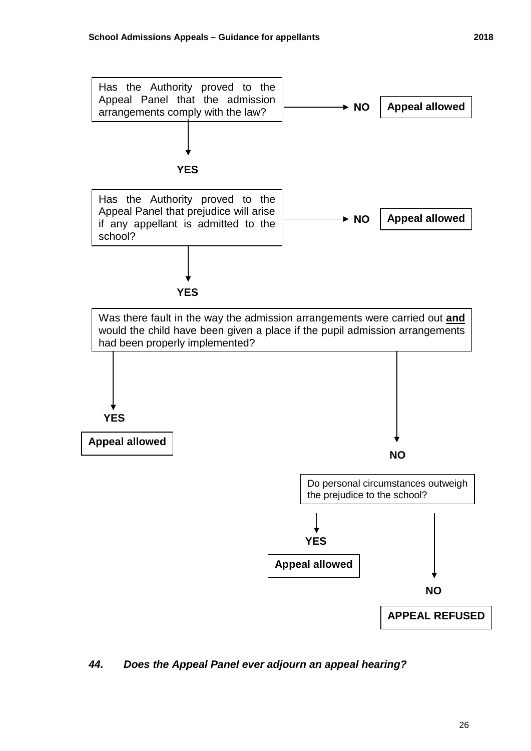Has the Authority proved to the

**YES** 

Has the Authority proved to the Appeal Panel that prejudice will arise if any appellant is admitted to the





 *44. Does the Appeal Panel ever adjourn an appeal hearing?*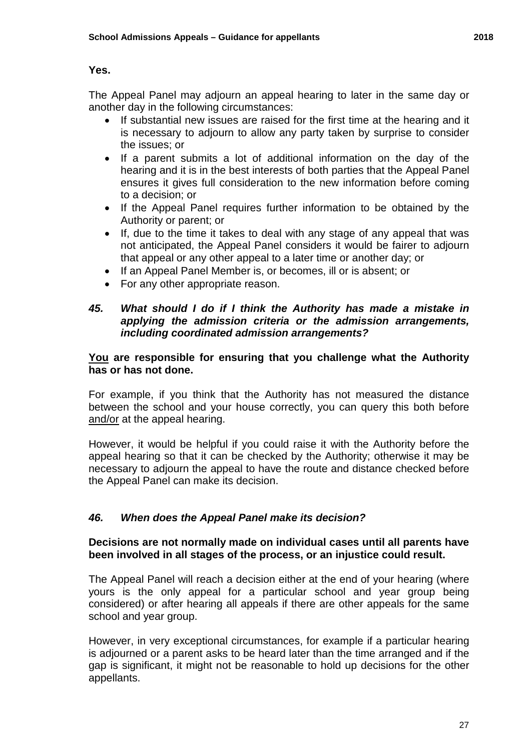#### **Yes.**

The Appeal Panel may adjourn an appeal hearing to later in the same day or another day in the following circumstances:

- the issues; or • If substantial new issues are raised for the first time at the hearing and it is necessary to adjourn to allow any party taken by surprise to consider
- hearing and it is in the best interests of both parties that the Appeal Panel • If a parent submits a lot of additional information on the day of the ensures it gives full consideration to the new information before coming to a decision; or
- Authority or parent; or • If the Appeal Panel requires further information to be obtained by the
- that appeal or any other appeal to a later time or another day; or • If, due to the time it takes to deal with any stage of any appeal that was not anticipated, the Appeal Panel considers it would be fairer to adjourn
- If an Appeal Panel Member is, or becomes, ill or is absent; or
- For any other appropriate reason.

#### *45. What should I do if I think the Authority has made a mistake in applying the admission criteria or the admission arrangements, including coordinated admission arrangements?*

#### **You are responsible for ensuring that you challenge what the Authority has or has not done.**

For example, if you think that the Authority has not measured the distance between the school and your house correctly, you can query this both before and/or at the appeal hearing.

 necessary to adjourn the appeal to have the route and distance checked before However, it would be helpful if you could raise it with the Authority before the appeal hearing so that it can be checked by the Authority; otherwise it may be the Appeal Panel can make its decision.

### *46. When does the Appeal Panel make its decision?*

#### **Decisions are not normally made on individual cases until all parents have been involved in all stages of the process, or an injustice could result.**

 yours is the only appeal for a particular school and year group being The Appeal Panel will reach a decision either at the end of your hearing (where considered) or after hearing all appeals if there are other appeals for the same school and year group.

However, in very exceptional circumstances, for example if a particular hearing is adjourned or a parent asks to be heard later than the time arranged and if the gap is significant, it might not be reasonable to hold up decisions for the other appellants.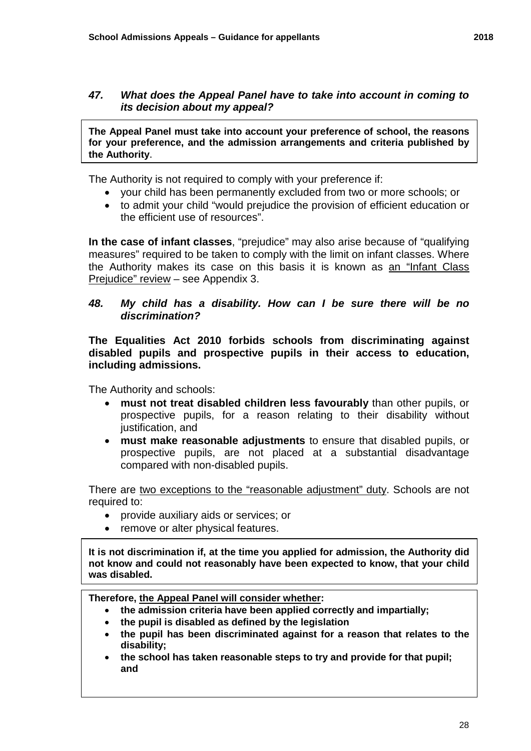#### *47. What does the Appeal Panel have to take into account in coming to its decision about my appeal?*

**The Appeal Panel must take into account your preference of school, the reasons for your preference, and the admission arrangements and criteria published by the Authority**.

The Authority is not required to comply with your preference if:

- your child has been permanently excluded from two or more schools; or
- to admit your child "would prejudice the provision of efficient education or the efficient use of resources".

 Prejudice" review – see Appendix 3. **In the case of infant classes**, "prejudice" may also arise because of "qualifying measures" required to be taken to comply with the limit on infant classes. Where the Authority makes its case on this basis it is known as an "Infant Class

#### *48. My child has a disability. How can I be sure there will be no discrimination?*

**The Equalities Act 2010 forbids schools from discriminating against disabled pupils and prospective pupils in their access to education, including admissions.** 

The Authority and schools:

- **must not treat disabled children less favourably** than other pupils, or prospective pupils, for a reason relating to their disability without justification, and
- **must make reasonable adjustments** to ensure that disabled pupils, or prospective pupils, are not placed at a substantial disadvantage compared with non-disabled pupils.

There are two exceptions to the "reasonable adjustment" duty. Schools are not required to:

- provide auxiliary aids or services; or
- remove or alter physical features.

 **It is not discrimination if, at the time you applied for admission, the Authority did not know and could not reasonably have been expected to know, that your child was disabled.** 

 **Therefore, the Appeal Panel will consider whether:** 

- **the admission criteria have been applied correctly and impartially;**
- **the pupil is disabled as defined by the legislation**
- **the pupil has been discriminated against for a reason that relates to the disability;**
- **the school has taken reasonable steps to try and provide for that pupil; and**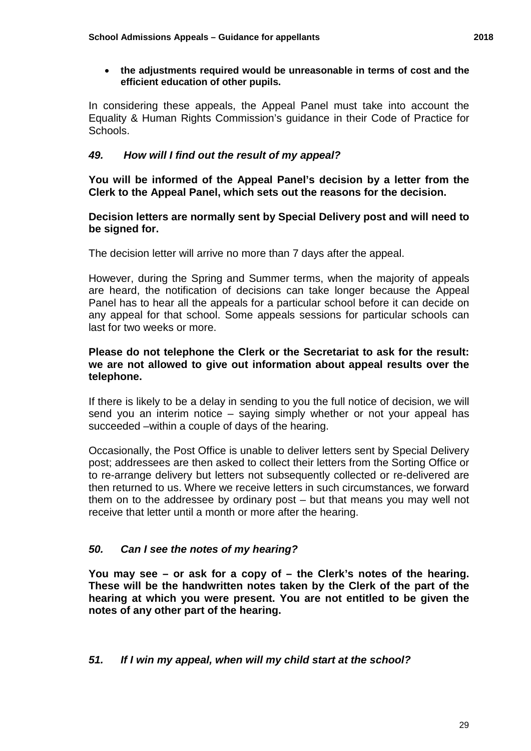In considering these appeals, the Appeal Panel must take into account the Equality & Human Rights Commission's guidance in their Code of Practice for Schools.

#### *49. 49. How will I find out the result of my appeal?*

 **Clerk to the Appeal Panel, which sets out the reasons for the decision. You will be informed of the Appeal Panel's decision by a letter from the** 

#### **Decision letters are normally sent by Special Delivery post and will need to be signed for.**

The decision letter will arrive no more than 7 days after the appeal.

 Panel has to hear all the appeals for a particular school before it can decide on any appeal for that school. Some appeals sessions for particular schools can last for two weeks or more. However, during the Spring and Summer terms, when the majority of appeals are heard, the notification of decisions can take longer because the Appeal

#### **Please do not telephone the Clerk or the Secretariat to ask for the result: we are not allowed to give out information about appeal results over the telephone.**

 send you an interim notice – saying simply whether or not your appeal has succeeded –within a couple of days of the hearing. If there is likely to be a delay in sending to you the full notice of decision, we will

 Occasionally, the Post Office is unable to deliver letters sent by Special Delivery post; addressees are then asked to collect their letters from the Sorting Office or to re-arrange delivery but letters not subsequently collected or re-delivered are receive that letter until a month or more after the hearing. then returned to us. Where we receive letters in such circumstances, we forward them on to the addressee by ordinary post – but that means you may well not

### *50. Can I see the notes of my hearing?*

**You may see – or ask for a copy of – the Clerk's notes of the hearing. These will be the handwritten notes taken by the Clerk of the part of the hearing at which you were present. You are not entitled to be given the notes of any other part of the hearing.** 

### *51. If I win my appeal, when will my child start at the school?*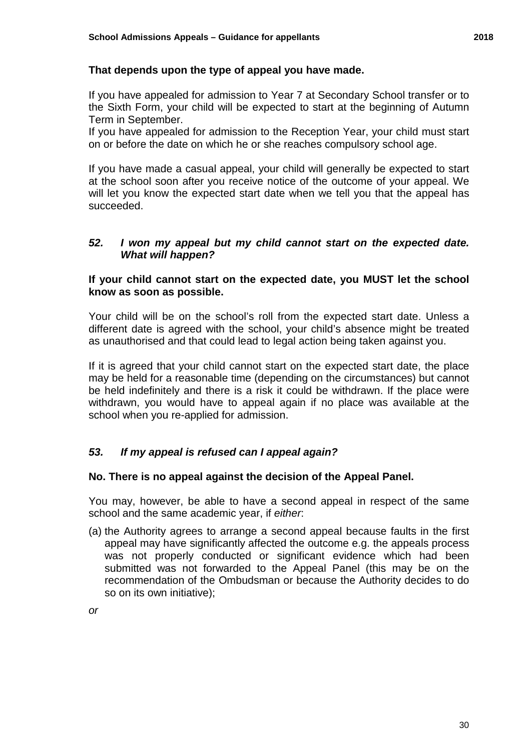#### **That depends upon the type of appeal you have made.**

 If you have appealed for admission to Year 7 at Secondary School transfer or to the Sixth Form, your child will be expected to start at the beginning of Autumn Term in September.

If you have appealed for admission to the Reception Year, your child must start on or before the date on which he or she reaches compulsory school age.

If you have made a casual appeal, your child will generally be expected to start at the school soon after you receive notice of the outcome of your appeal. We will let you know the expected start date when we tell you that the appeal has succeeded.

#### *52. I won my appeal but my child cannot start on the expected date. What will happen?*

#### **If your child cannot start on the expected date, you MUST let the school know as soon as possible.**

 different date is agreed with the school, your child's absence might be treated Your child will be on the school's roll from the expected start date. Unless a as unauthorised and that could lead to legal action being taken against you.

 be held indefinitely and there is a risk it could be withdrawn. If the place were If it is agreed that your child cannot start on the expected start date, the place may be held for a reasonable time (depending on the circumstances) but cannot withdrawn, you would have to appeal again if no place was available at the school when you re-applied for admission.

#### *53. If my appeal is refused can I appeal again?*

#### **No. There is no appeal against the decision of the Appeal Panel.**

 school and the same academic year, if *either*: You may, however, be able to have a second appeal in respect of the same

(a) the Authority agrees to arrange a second appeal because faults in the first appeal may have significantly affected the outcome e.g. the appeals process was not properly conducted or significant evidence which had been submitted was not forwarded to the Appeal Panel (this may be on the recommendation of the Ombudsman or because the Authority decides to do so on its own initiative);

*or*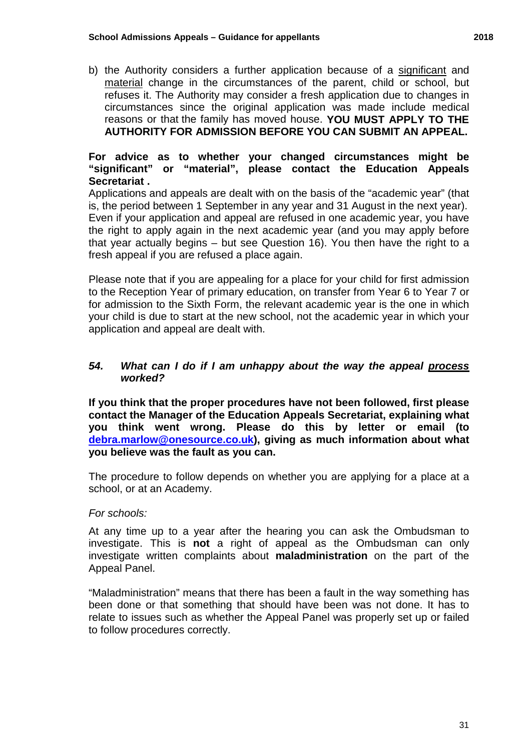reasons or that the family has moved house. **YOU MUST APPLY TO THE**  b) the Authority considers a further application because of a significant and material change in the circumstances of the parent, child or school, but refuses it. The Authority may consider a fresh application due to changes in circumstances since the original application was made include medical **AUTHORITY FOR ADMISSION BEFORE YOU CAN SUBMIT AN APPEAL.** 

#### **For advice as to whether your changed circumstances might be "significant" or "material", please contact the Education Appeals Secretariat .**

 the right to apply again in the next academic year (and you may apply before that year actually begins – but see Question 16). You then have the right to a Applications and appeals are dealt with on the basis of the "academic year" (that is, the period between 1 September in any year and 31 August in the next year). Even if your application and appeal are refused in one academic year, you have fresh appeal if you are refused a place again.

 your child is due to start at the new school, not the academic year in which your application and appeal are dealt with. Please note that if you are appealing for a place for your child for first admission to the Reception Year of primary education, on transfer from Year 6 to Year 7 or for admission to the Sixth Form, the relevant academic year is the one in which

#### *54. What can I do if I am unhappy about the way the appeal process worked?*

 **contact the Manager of the Education Appeals Secretariat, explaining what If you think that the proper procedures have not been followed, first please you think went wrong. Please do this by letter or email (to [debra.marlow@onesource.co.uk\)](mailto:debra.marlow@onesource.co.uk), giving as much information about what you believe was the fault as you can.** 

 The procedure to follow depends on whether you are applying for a place at a school, or at an Academy.

#### *For schools:*

At any time up to a year after the hearing you can ask the Ombudsman to investigate. This is **not** a right of appeal as the Ombudsman can only investigate written complaints about **maladministration** on the part of the Appeal Panel.

 been done or that something that should have been was not done. It has to relate to issues such as whether the Appeal Panel was properly set up or failed "Maladministration" means that there has been a fault in the way something has to follow procedures correctly.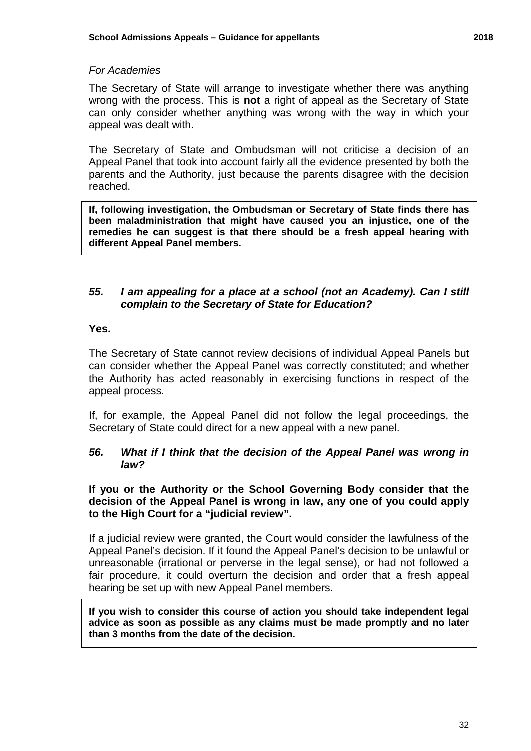#### *For Academies*

 can only consider whether anything was wrong with the way in which your The Secretary of State will arrange to investigate whether there was anything wrong with the process. This is **not** a right of appeal as the Secretary of State appeal was dealt with.

The Secretary of State and Ombudsman will not criticise a decision of an Appeal Panel that took into account fairly all the evidence presented by both the parents and the Authority, just because the parents disagree with the decision reached.

 **been maladministration that might have caused you an injustice, one of the different Appeal Panel members. If, following investigation, the Ombudsman or Secretary of State finds there has remedies he can suggest is that there should be a fresh appeal hearing with** 

#### *55. I am appealing for a place at a school (not an Academy). Can I still complain to the Secretary of State for Education?*

#### **Yes.**

 can consider whether the Appeal Panel was correctly constituted; and whether The Secretary of State cannot review decisions of individual Appeal Panels but the Authority has acted reasonably in exercising functions in respect of the appeal process.

 If, for example, the Appeal Panel did not follow the legal proceedings, the Secretary of State could direct for a new appeal with a new panel.

#### *56. What if I think that the decision of the Appeal Panel was wrong in law?*

 **If you or the Authority or the School Governing Body consider that the decision of the Appeal Panel is wrong in law, any one of you could apply to the High Court for a "judicial review".** 

 fair procedure, it could overturn the decision and order that a fresh appeal If a judicial review were granted, the Court would consider the lawfulness of the Appeal Panel's decision. If it found the Appeal Panel's decision to be unlawful or unreasonable (irrational or perverse in the legal sense), or had not followed a hearing be set up with new Appeal Panel members.

 **If you wish to consider this course of action you should take independent legal advice as soon as possible as any claims must be made promptly and no later than 3 months from the date of the decision.**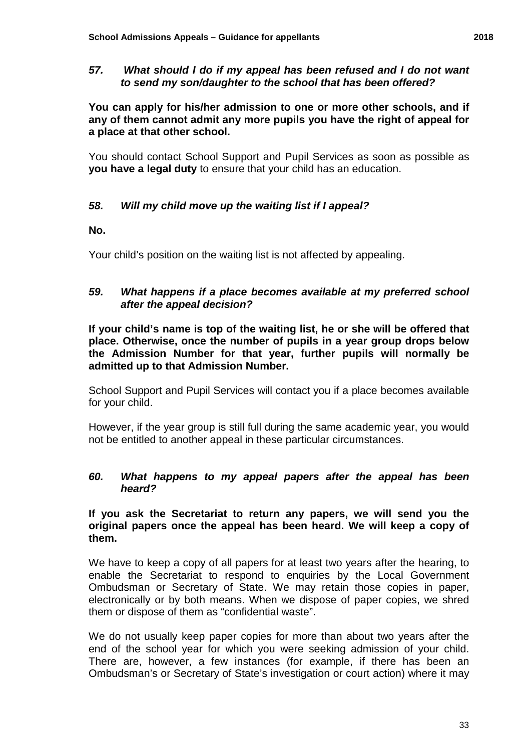#### *57. What should I do if my appeal has been refused and I do not want to send my son/daughter to the school that has been offered?*

 **You can apply for his/her admission to one or more other schools, and if any of them cannot admit any more pupils you have the right of appeal for a place at that other school.** 

You should contact School Support and Pupil Services as soon as possible as **you have a legal duty** to ensure that your child has an education.

#### 58. *58. Will my child move up the waiting list if I appeal?*

#### **No.**

Your child's position on the waiting list is not affected by appealing.

#### *59. What happens if a place becomes available at my preferred school after the appeal decision?*

 **If your child's name is top of the waiting list, he or she will be offered that place. Otherwise, once the number of pupils in a year group drops below the Admission Number for that year, further pupils will normally be admitted up to that Admission Number.** 

 School Support and Pupil Services will contact you if a place becomes available for your child.

However, if the year group is still full during the same academic year, you would not be entitled to another appeal in these particular circumstances.

#### *60. What happens to my appeal papers after the appeal has been heard?*

#### **If you ask the Secretariat to return any papers, we will send you the original papers once the appeal has been heard. We will keep a copy of them.**

 We have to keep a copy of all papers for at least two years after the hearing, to Ombudsman or Secretary of State. We may retain those copies in paper, them or dispose of them as "confidential waste". enable the Secretariat to respond to enquiries by the Local Government electronically or by both means. When we dispose of paper copies, we shred

 We do not usually keep paper copies for more than about two years after the There are, however, a few instances (for example, if there has been an end of the school year for which you were seeking admission of your child. Ombudsman's or Secretary of State's investigation or court action) where it may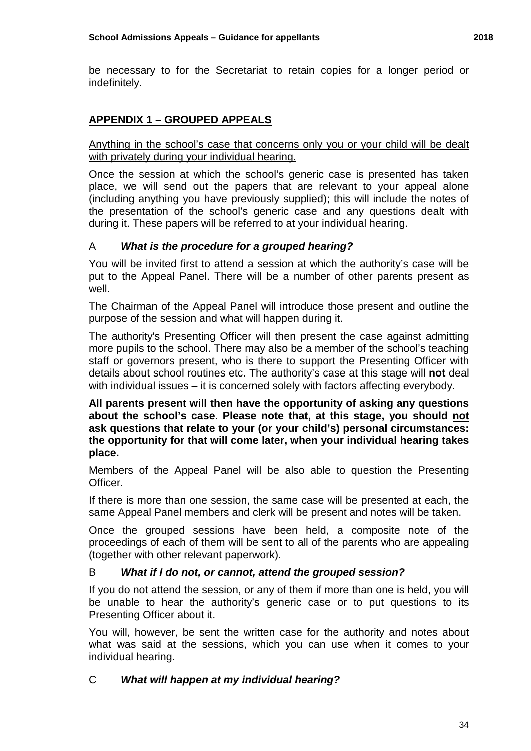be necessary to for the Secretariat to retain copies for a longer period or indefinitely.

### **APPENDIX 1 – GROUPED APPEALS**

 Anything in the school's case that concerns only you or your child will be dealt with privately during your individual hearing.

Once the session at which the school's generic case is presented has taken place, we will send out the papers that are relevant to your appeal alone (including anything you have previously supplied); this will include the notes of the presentation of the school's generic case and any questions dealt with during it. These papers will be referred to at your individual hearing.

### A *What is the procedure for a grouped hearing?*

 put to the Appeal Panel. There will be a number of other parents present as You will be invited first to attend a session at which the authority's case will be well.

The Chairman of the Appeal Panel will introduce those present and outline the purpose of the session and what will happen during it.

The authority's Presenting Officer will then present the case against admitting more pupils to the school. There may also be a member of the school's teaching staff or governors present, who is there to support the Presenting Officer with details about school routines etc. The authority's case at this stage will **not** deal with individual issues – it is concerned solely with factors affecting everybody.

 **All parents present will then have the opportunity of asking any questions about the school's case**. **Please note that, at this stage, you should not ask questions that relate to your (or your child's) personal circumstances: the opportunity for that will come later, when your individual hearing takes place.** 

Members of the Appeal Panel will be also able to question the Presenting Officer.

 If there is more than one session, the same case will be presented at each, the same Appeal Panel members and clerk will be present and notes will be taken.

Once the grouped sessions have been held, a composite note of the proceedings of each of them will be sent to all of the parents who are appealing (together with other relevant paperwork).

#### B *What if I do not, or cannot, attend the grouped session?*

If you do not attend the session, or any of them if more than one is held, you will be unable to hear the authority's generic case or to put questions to its Presenting Officer about it.

 You will, however, be sent the written case for the authority and notes about what was said at the sessions, which you can use when it comes to your individual hearing.

#### *What will happen at my individual hearing?*   $\overline{C}$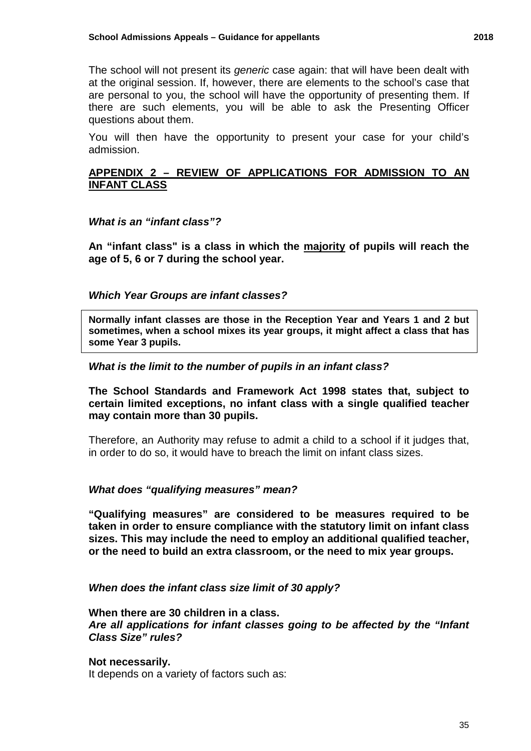The school will not present its *generic* case again: that will have been dealt with at the original session. If, however, there are elements to the school's case that are personal to you, the school will have the opportunity of presenting them. If there are such elements, you will be able to ask the Presenting Officer questions about them.

 admission. You will then have the opportunity to present your case for your child's

#### **APPENDIX 2 – REVIEW OF APPLICATIONS FOR ADMISSION TO AN INFANT CLASS**

#### *What is an "infant class"?*

**An "infant class" is a class in which the majority of pupils will reach the age of 5, 6 or 7 during the school year.** 

#### *Which Year Groups are infant classes?*

 **Normally infant classes are those in the Reception Year and Years 1 and 2 but sometimes, when a school mixes its year groups, it might affect a class that has some Year 3 pupils.** 

#### *What is the limit to the number of pupils in an infant class?*

**The School Standards and Framework Act 1998 states that, subject to certain limited exceptions, no infant class with a single qualified teacher may contain more than 30 pupils.** 

 in order to do so, it would have to breach the limit on infant class sizes. Therefore, an Authority may refuse to admit a child to a school if it judges that,

### *What does "qualifying measures" mean?*

**"Qualifying measures" are considered to be measures required to be taken in order to ensure compliance with the statutory limit on infant class sizes. This may include the need to employ an additional qualified teacher, or the need to build an extra classroom, or the need to mix year groups.** 

#### *When does the infant class size limit of 30 apply?*

 **When there are 30 children in a class.**  *Class Size" rules? Are all applications for infant classes going to be affected by the "Infant* 

#### **Not necessarily.**

It depends on a variety of factors such as: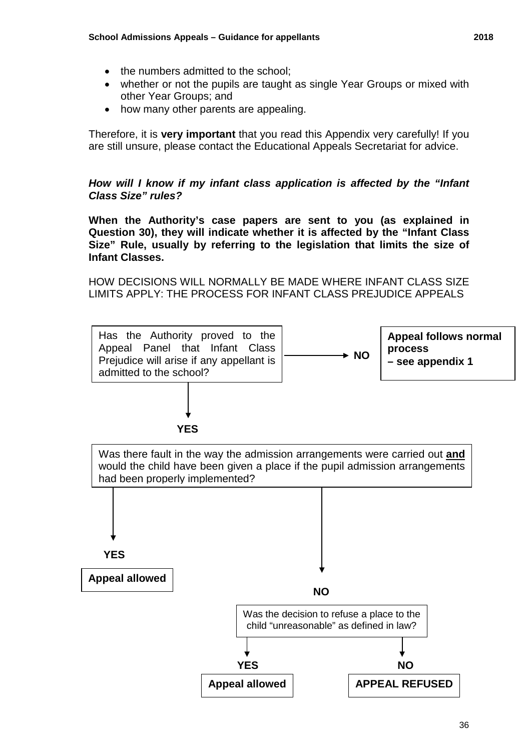- the numbers admitted to the school;
- • whether or not the pupils are taught as single Year Groups or mixed with other Year Groups; and
- how many other parents are appealing.

 are still unsure, please contact the Educational Appeals Secretariat for advice. Therefore, it is **very important** that you read this Appendix very carefully! If you

### *Class Size" rules? How will I know if my infant class application is affected by the "Infant*

 **When the Authority's case papers are sent to you (as explained in Question 30), they will indicate whether it is affected by the "Infant Class Size" Rule, usually by referring to the legislation that limits the size of Infant Classes.** 

 HOW DECISIONS WILL NORMALLY BE MADE WHERE INFANT CLASS SIZE LIMITS APPLY: THE PROCESS FOR INFANT CLASS PREJUDICE APPEALS

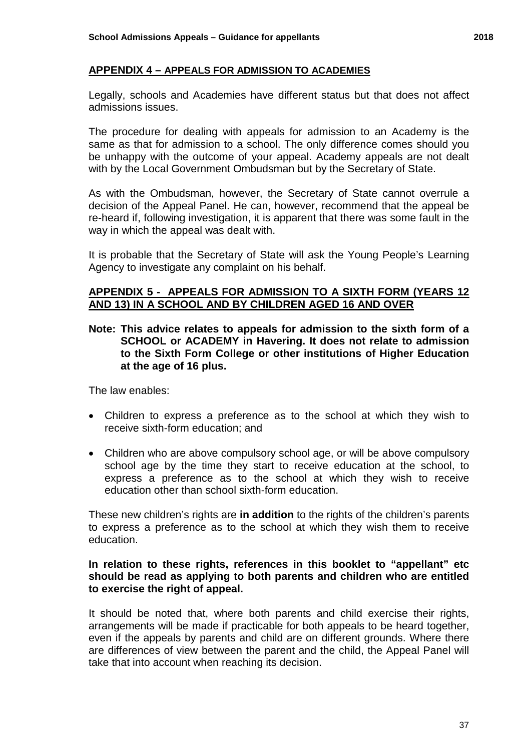### **APPENDIX 4 – APPEALS FOR ADMISSION TO ACADEMIES**

Legally, schools and Academies have different status but that does not affect admissions issues.

with by the Local Government Ombudsman but by the Secretary of State. The procedure for dealing with appeals for admission to an Academy is the same as that for admission to a school. The only difference comes should you be unhappy with the outcome of your appeal. Academy appeals are not dealt

As with the Ombudsman, however, the Secretary of State cannot overrule a decision of the Appeal Panel. He can, however, recommend that the appeal be re-heard if, following investigation, it is apparent that there was some fault in the way in which the appeal was dealt with.

It is probable that the Secretary of State will ask the Young People's Learning Agency to investigate any complaint on his behalf.

### **APPENDIX 5 - APPEALS FOR ADMISSION TO A SIXTH FORM (YEARS 12 AND 13) IN A SCHOOL AND BY CHILDREN AGED 16 AND OVER**

 **SCHOOL or ACADEMY in Havering. It does not relate to admission Note: This advice relates to appeals for admission to the sixth form of a to the Sixth Form College or other institutions of Higher Education at the age of 16 plus.** 

The law enables:

- Children to express a preference as to the school at which they wish to receive sixth-form education; and
- • Children who are above compulsory school age, or will be above compulsory school age by the time they start to receive education at the school, to express a preference as to the school at which they wish to receive education other than school sixth-form education.

 education. These new children's rights are **in addition** to the rights of the children's parents to express a preference as to the school at which they wish them to receive

#### **In relation to these rights, references in this booklet to "appellant" etc should be read as applying to both parents and children who are entitled to exercise the right of appeal.**

It should be noted that, where both parents and child exercise their rights, arrangements will be made if practicable for both appeals to be heard together, even if the appeals by parents and child are on different grounds. Where there are differences of view between the parent and the child, the Appeal Panel will take that into account when reaching its decision.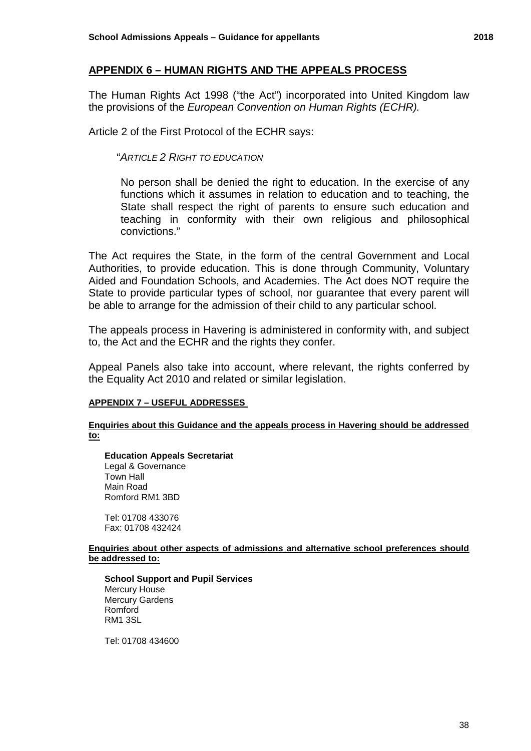### **APPENDIX 6 – HUMAN RIGHTS AND THE APPEALS PROCESS**

 The Human Rights Act 1998 ("the Act") incorporated into United Kingdom law  the provisions of the *European Convention on Human Rights (ECHR).* 

Article 2 of the First Protocol of the ECHR says:

"*ARTICLE 2 RIGHT TO EDUCATION* 

No person shall be denied the right to education. In the exercise of any functions which it assumes in relation to education and to teaching, the State shall respect the right of parents to ensure such education and teaching in conformity with their own religious and philosophical convictions."

The Act requires the State, in the form of the central Government and Local Authorities, to provide education. This is done through Community, Voluntary Aided and Foundation Schools, and Academies. The Act does NOT require the State to provide particular types of school, nor guarantee that every parent will be able to arrange for the admission of their child to any particular school.

The appeals process in Havering is administered in conformity with, and subject to, the Act and the ECHR and the rights they confer.

 the Equality Act 2010 and related or similar legislation. Appeal Panels also take into account, where relevant, the rights conferred by

#### **APPENDIX 7 – USEFUL ADDRESSES**

**Enquiries about this Guidance and the appeals process in Havering should be addressed to:** 

 Town Hall **Education Appeals Secretariat**  Legal & Governance Main Road Romford RM1 3BD

 Tel: 01708 433076 Fax: 01708 432424

**Enquiries about other aspects of admissions and alternative school preferences should be addressed to:** 

 RM1 3SL **School Support and Pupil Services**  Mercury House Mercury Gardens Romford

Tel: 01708 434600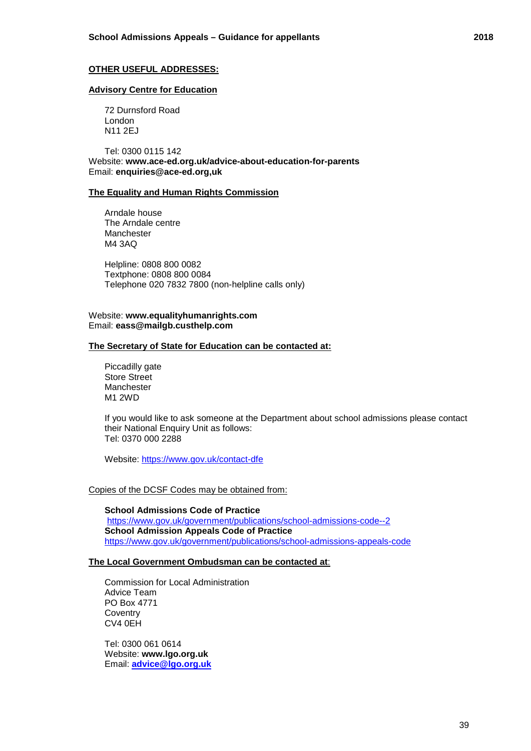#### **Advisory Centre for Education**

72 Durnsford Road London N11 2EJ

Tel: 0300 0115 142 Website: **<www.ace-ed.org.uk/advice-about-education-for-parents>**  Email: **enquiries@ace-ed.org,uk** 

#### **The Equality and Human Rights Commission**

Arndale house The Arndale centre **Manchester** M4 3AQ

Helpline: 0808 800 0082 Textphone: 0808 800 0084 Telephone 020 7832 7800 (non-helpline calls only)

#### Website: **<www.equalityhumanrights.com>** Email: **[eass@mailgb.custhelp.com](mailto:eass@mailgb.custhelp.com)**

#### **The Secretary of State for Education can be contacted at:**

Piccadilly gate Store Street Manchester M1 2WD

If you would like to ask someone at the Department about school admissions please contact their National Enquiry Unit as follows: Tel: 0370 000 2288

Website: https://www.gov.uk/contact-dfe

#### Copies of the DCSF Codes may be obtained from:

 <https://www.gov.uk/government/publications/school-admissions-appeals-code>**School Admissions Code of Practice**  <https://www.gov.uk/government/publications/school-admissions-code--2> **School Admission Appeals Code of Practice** 

#### **The Local Government Ombudsman can be contacted at**:

Commission for Local Administration Advice Team PO Box 4771 **Coventry** CV4 0EH

Tel: 0300 061 0614 Website: **www.lgo.org.uk**  Email: **[advice@lgo.org.uk](mailto:advice@lgo.org.uk)**